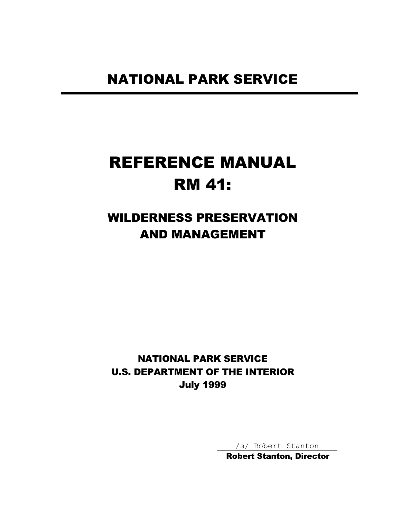# REFERENCE MANUAL RM 41:

# WILDERNESS PRESERVATION AND MANAGEMENT

# NATIONAL PARK SERVICE U.S. DEPARTMENT OF THE INTERIOR July 1999

/s/ Robert Stanton

Robert Stanton, Director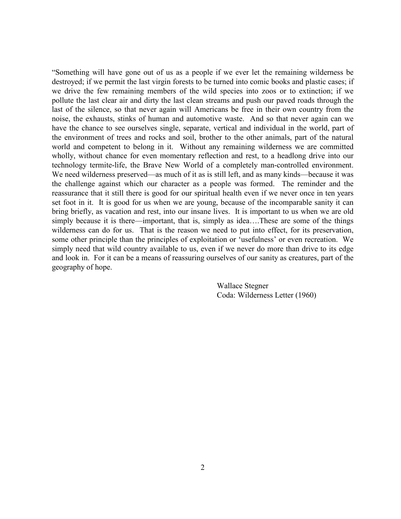"Something will have gone out of us as a people if we ever let the remaining wilderness be destroyed; if we permit the last virgin forests to be turned into comic books and plastic cases; if we drive the few remaining members of the wild species into zoos or to extinction; if we pollute the last clear air and dirty the last clean streams and push our paved roads through the last of the silence, so that never again will Americans be free in their own country from the noise, the exhausts, stinks of human and automotive waste. And so that never again can we have the chance to see ourselves single, separate, vertical and individual in the world, part of the environment of trees and rocks and soil, brother to the other animals, part of the natural world and competent to belong in it. Without any remaining wilderness we are committed wholly, without chance for even momentary reflection and rest, to a headlong drive into our technology termite-life, the Brave New World of a completely man-controlled environment. We need wilderness preserved—as much of it as is still left, and as many kinds—because it was the challenge against which our character as a people was formed. The reminder and the reassurance that it still there is good for our spiritual health even if we never once in ten years set foot in it. It is good for us when we are young, because of the incomparable sanity it can bring briefly, as vacation and rest, into our insane lives. It is important to us when we are old simply because it is there—important, that is, simply as idea….These are some of the things wilderness can do for us. That is the reason we need to put into effect, for its preservation, some other principle than the principles of exploitation or 'usefulness' or even recreation. We simply need that wild country available to us, even if we never do more than drive to its edge and look in. For it can be a means of reassuring ourselves of our sanity as creatures, part of the geography of hope.

> Wallace Stegner Coda: Wilderness Letter (1960)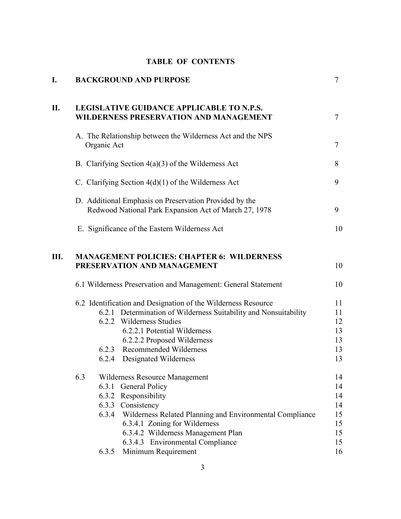|  | <b>TABLE OF CONTENTS</b> |
|--|--------------------------|
|  |                          |

| I. |                                                                                                   |             | <b>BACKGROUND AND PURPOSE</b>                                                                                                                                                                                                                                                                           | $\tau$                                             |
|----|---------------------------------------------------------------------------------------------------|-------------|---------------------------------------------------------------------------------------------------------------------------------------------------------------------------------------------------------------------------------------------------------------------------------------------------------|----------------------------------------------------|
| Η. | <b>LEGISLATIVE GUIDANCE APPLICABLE TO N.P.S.</b><br><b>WILDERNESS PRESERVATION AND MANAGEMENT</b> |             | $\tau$                                                                                                                                                                                                                                                                                                  |                                                    |
|    |                                                                                                   | Organic Act | A. The Relationship between the Wilderness Act and the NPS                                                                                                                                                                                                                                              | $\tau$                                             |
|    |                                                                                                   |             | B. Clarifying Section $4(a)(3)$ of the Wilderness Act                                                                                                                                                                                                                                                   | 8                                                  |
|    |                                                                                                   |             | C. Clarifying Section $4(d)(1)$ of the Wilderness Act                                                                                                                                                                                                                                                   | 9                                                  |
|    |                                                                                                   |             | D. Additional Emphasis on Preservation Provided by the<br>Redwood National Park Expansion Act of March 27, 1978                                                                                                                                                                                         | 9                                                  |
|    |                                                                                                   |             | E. Significance of the Eastern Wilderness Act                                                                                                                                                                                                                                                           | 10                                                 |
| Ш. |                                                                                                   |             | <b>MANAGEMENT POLICIES: CHAPTER 6: WILDERNESS</b><br>PRESERVATION AND MANAGEMENT                                                                                                                                                                                                                        | 10<br>10                                           |
|    |                                                                                                   |             | 6.1 Wilderness Preservation and Management: General Statement                                                                                                                                                                                                                                           |                                                    |
|    |                                                                                                   | 6.2.3       | 6.2 Identification and Designation of the Wilderness Resource<br>6.2.1 Determination of Wilderness Suitability and Nonsuitability<br>6.2.2 Wilderness Studies<br>6.2.2.1 Potential Wilderness<br>6.2.2.2 Proposed Wilderness<br>Recommended Wilderness<br>6.2.4 Designated Wilderness                   | 11<br>11<br>12<br>13<br>13<br>13<br>13             |
|    | 6.3                                                                                               | 6.3.5       | Wilderness Resource Management<br>6.3.1 General Policy<br>6.3.2 Responsibility<br>6.3.3 Consistency<br>6.3.4 Wilderness Related Planning and Environmental Compliance<br>6.3.4.1 Zoning for Wilderness<br>6.3.4.2 Wilderness Management Plan<br>6.3.4.3 Environmental Compliance<br>Minimum Requirement | 14<br>14<br>14<br>14<br>15<br>15<br>15<br>15<br>16 |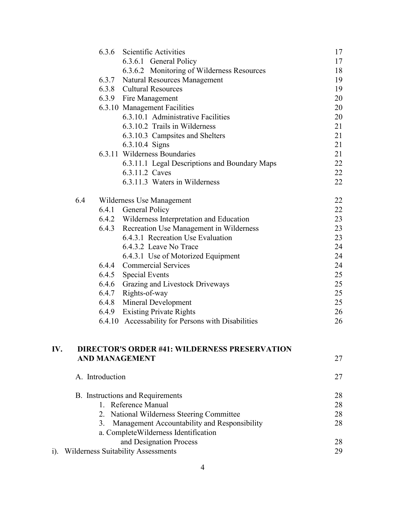|     |     | 6.3.6           | Scientific Activities                                                         | 17 |
|-----|-----|-----------------|-------------------------------------------------------------------------------|----|
|     |     |                 | 6.3.6.1 General Policy                                                        | 17 |
|     |     |                 | 6.3.6.2 Monitoring of Wilderness Resources                                    | 18 |
|     |     | 6.3.7           | Natural Resources Management                                                  | 19 |
|     |     | 6.3.8           | <b>Cultural Resources</b>                                                     | 19 |
|     |     |                 | 6.3.9 Fire Management                                                         | 20 |
|     |     |                 | 6.3.10 Management Facilities                                                  | 20 |
|     |     |                 | 6.3.10.1 Administrative Facilities                                            | 20 |
|     |     |                 | 6.3.10.2 Trails in Wilderness                                                 | 21 |
|     |     |                 | 6.3.10.3 Campsites and Shelters                                               | 21 |
|     |     |                 | 6.3.10.4 Signs                                                                | 21 |
|     |     |                 | 6.3.11 Wilderness Boundaries                                                  | 21 |
|     |     |                 | 6.3.11.1 Legal Descriptions and Boundary Maps                                 | 22 |
|     |     |                 | 6.3.11.2 Caves                                                                | 22 |
|     |     |                 | 6.3.11.3 Waters in Wilderness                                                 | 22 |
|     | 6.4 |                 | Wilderness Use Management                                                     | 22 |
|     |     |                 | 6.4.1 General Policy                                                          | 22 |
|     |     |                 | 6.4.2 Wilderness Interpretation and Education                                 | 23 |
|     |     | 6.4.3           | Recreation Use Management in Wilderness                                       | 23 |
|     |     |                 | 6.4.3.1 Recreation Use Evaluation                                             | 23 |
|     |     |                 | 6.4.3.2 Leave No Trace                                                        | 24 |
|     |     |                 | 6.4.3.1 Use of Motorized Equipment                                            | 24 |
|     |     | 6.4.4           | <b>Commercial Services</b>                                                    | 24 |
|     |     |                 | 6.4.5 Special Events                                                          | 25 |
|     |     |                 | 6.4.6 Grazing and Livestock Driveways                                         | 25 |
|     |     | 6.4.7           | Rights-of-way                                                                 | 25 |
|     |     | 6.4.8           | Mineral Development                                                           | 25 |
|     |     |                 | 6.4.9 Existing Private Rights                                                 | 26 |
|     |     |                 | 6.4.10 Accessability for Persons with Disabilities                            | 26 |
|     |     |                 |                                                                               |    |
| IV. |     |                 | <b>DIRECTOR'S ORDER #41: WILDERNESS PRESERVATION</b><br><b>AND MANAGEMENT</b> | 27 |
|     |     |                 |                                                                               |    |
|     |     | A. Introduction |                                                                               | 27 |
|     |     |                 | B. Instructions and Requirements                                              | 28 |
|     |     |                 | 1. Reference Manual                                                           | 28 |
|     |     |                 | 2. National Wilderness Steering Committee                                     | 28 |
|     |     | 3.              | Management Accountability and Responsibility                                  | 28 |
|     |     |                 | a. CompleteWilderness Identification                                          |    |
|     |     |                 | and Designation Process                                                       | 28 |
|     |     |                 | i). Wilderness Suitability Assessments                                        | 29 |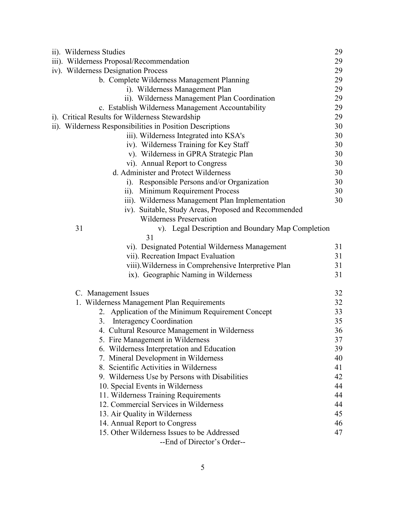| ii). Wilderness Studies                                   | 29 |
|-----------------------------------------------------------|----|
| iii). Wilderness Proposal/Recommendation                  | 29 |
| iv). Wilderness Designation Process                       | 29 |
| b. Complete Wilderness Management Planning                | 29 |
| i). Wilderness Management Plan                            | 29 |
| ii). Wilderness Management Plan Coordination              | 29 |
| c. Establish Wilderness Management Accountability         | 29 |
| i). Critical Results for Wilderness Stewardship           | 29 |
| ii). Wilderness Responsibilities in Position Descriptions | 30 |
| iii). Wilderness Integrated into KSA's                    | 30 |
| iv). Wilderness Training for Key Staff                    | 30 |
| v). Wilderness in GPRA Strategic Plan                     | 30 |
| vi). Annual Report to Congress                            | 30 |
| d. Administer and Protect Wilderness                      | 30 |
| i). Responsible Persons and/or Organization               | 30 |
| ii). Minimum Requirement Process                          | 30 |
| iii). Wilderness Management Plan Implementation           | 30 |
| iv). Suitable, Study Areas, Proposed and Recommended      |    |
| <b>Wilderness Preservation</b>                            |    |
| 31<br>v). Legal Description and Boundary Map Completion   |    |
| 31                                                        |    |
| vi). Designated Potential Wilderness Management           | 31 |
| vii). Recreation Impact Evaluation                        | 31 |
| viii). Wilderness in Comprehensive Interpretive Plan      | 31 |
| ix). Geographic Naming in Wilderness                      | 31 |
| C. Management Issues                                      | 32 |
| 1. Wilderness Management Plan Requirements                | 32 |
| 2. Application of the Minimum Requirement Concept         | 33 |
| <b>Interagency Coordination</b><br>3.                     | 35 |
| 4. Cultural Resource Management in Wilderness             | 36 |
| 5. Fire Management in Wilderness                          | 37 |
| 6. Wilderness Interpretation and Education                | 39 |
| 7. Mineral Development in Wilderness                      | 40 |
| 8. Scientific Activities in Wilderness                    | 41 |
| 9. Wilderness Use by Persons with Disabilities            | 42 |
| 10. Special Events in Wilderness                          | 44 |
| 11. Wilderness Training Requirements                      | 44 |
| 12. Commercial Services in Wilderness                     | 44 |
| 13. Air Quality in Wilderness                             | 45 |
| 14. Annual Report to Congress                             | 46 |
| 15. Other Wilderness Issues to be Addressed               | 47 |
| --End of Director's Order--                               |    |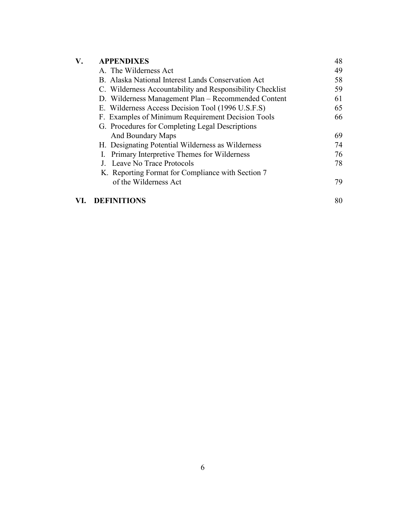| V. | <b>APPENDIXES</b>                                         | 48 |
|----|-----------------------------------------------------------|----|
|    | A. The Wilderness Act                                     | 49 |
|    | B. Alaska National Interest Lands Conservation Act        | 58 |
|    | C. Wilderness Accountability and Responsibility Checklist | 59 |
|    | D. Wilderness Management Plan – Recommended Content       | 61 |
|    | E. Wilderness Access Decision Tool (1996 U.S.F.S)         | 65 |
|    | F. Examples of Minimum Requirement Decision Tools         | 66 |
|    | G. Procedures for Completing Legal Descriptions           |    |
|    | <b>And Boundary Maps</b>                                  | 69 |
|    | H. Designating Potential Wilderness as Wilderness         | 74 |
|    | I. Primary Interpretive Themes for Wilderness             | 76 |
|    | J. Leave No Trace Protocols                               | 78 |
|    | K. Reporting Format for Compliance with Section 7         |    |
|    | of the Wilderness Act                                     | 79 |
|    |                                                           |    |

### VI. DEFINITIONS 80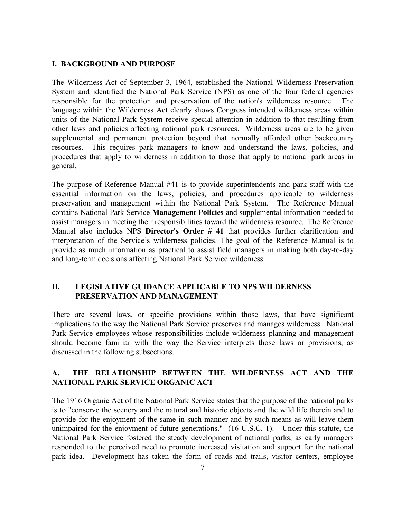#### **I. BACKGROUND AND PURPOSE**

The Wilderness Act of September 3, 1964, established the National Wilderness Preservation System and identified the National Park Service (NPS) as one of the four federal agencies responsible for the protection and preservation of the nation's wilderness resource. The language within the Wilderness Act clearly shows Congress intended wilderness areas within units of the National Park System receive special attention in addition to that resulting from other laws and policies affecting national park resources. Wilderness areas are to be given supplemental and permanent protection beyond that normally afforded other backcountry resources. This requires park managers to know and understand the laws, policies, and procedures that apply to wilderness in addition to those that apply to national park areas in general.

The purpose of Reference Manual #41 is to provide superintendents and park staff with the essential information on the laws, policies, and procedures applicable to wilderness preservation and management within the National Park System. The Reference Manual contains National Park Service **Management Policies** and supplemental information needed to assist managers in meeting their responsibilities toward the wilderness resource. The Reference Manual also includes NPS **Director's Order # 41** that provides further clarification and interpretation of the Service's wilderness policies. The goal of the Reference Manual is to provide as much information as practical to assist field managers in making both day-to-day and long-term decisions affecting National Park Service wilderness.

#### **II. LEGISLATIVE GUIDANCE APPLICABLE TO NPS WILDERNESS PRESERVATION AND MANAGEMENT**

There are several laws, or specific provisions within those laws, that have significant implications to the way the National Park Service preserves and manages wilderness. National Park Service employees whose responsibilities include wilderness planning and management should become familiar with the way the Service interprets those laws or provisions, as discussed in the following subsections.

#### **A. THE RELATIONSHIP BETWEEN THE WILDERNESS ACT AND THE NATIONAL PARK SERVICE ORGANIC ACT**

The 1916 Organic Act of the National Park Service states that the purpose of the national parks is to "conserve the scenery and the natural and historic objects and the wild life therein and to provide for the enjoyment of the same in such manner and by such means as will leave them unimpaired for the enjoyment of future generations." (16 U.S.C. 1). Under this statute, the National Park Service fostered the steady development of national parks, as early managers responded to the perceived need to promote increased visitation and support for the national park idea. Development has taken the form of roads and trails, visitor centers, employee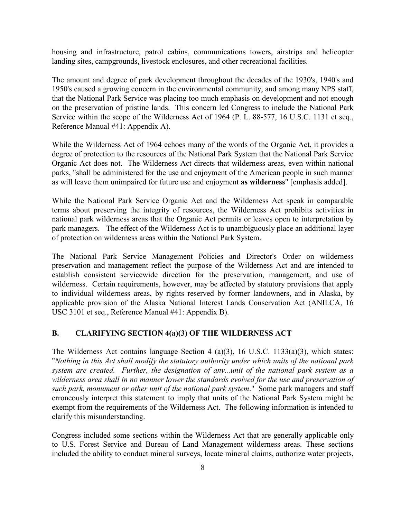housing and infrastructure, patrol cabins, communications towers, airstrips and helicopter landing sites, campgrounds, livestock enclosures, and other recreational facilities.

The amount and degree of park development throughout the decades of the 1930's, 1940's and 1950's caused a growing concern in the environmental community, and among many NPS staff, that the National Park Service was placing too much emphasis on development and not enough on the preservation of pristine lands. This concern led Congress to include the National Park Service within the scope of the Wilderness Act of 1964 (P. L. 88-577, 16 U.S.C. 1131 et seq., Reference Manual #41: Appendix A).

While the Wilderness Act of 1964 echoes many of the words of the Organic Act, it provides a degree of protection to the resources of the National Park System that the National Park Service Organic Act does not. The Wilderness Act directs that wilderness areas, even within national parks, "shall be administered for the use and enjoyment of the American people in such manner as will leave them unimpaired for future use and enjoyment **as wilderness**" [emphasis added].

While the National Park Service Organic Act and the Wilderness Act speak in comparable terms about preserving the integrity of resources, the Wilderness Act prohibits activities in national park wilderness areas that the Organic Act permits or leaves open to interpretation by park managers. The effect of the Wilderness Act is to unambiguously place an additional layer of protection on wilderness areas within the National Park System.

The National Park Service Management Policies and Director's Order on wilderness preservation and management reflect the purpose of the Wilderness Act and are intended to establish consistent servicewide direction for the preservation, management, and use of wilderness. Certain requirements, however, may be affected by statutory provisions that apply to individual wilderness areas, by rights reserved by former landowners, and in Alaska, by applicable provision of the Alaska National Interest Lands Conservation Act (ANILCA, 16 USC 3101 et seq., Reference Manual #41: Appendix B).

#### **B. CLARIFYING SECTION 4(a)(3) OF THE WILDERNESS ACT**

The Wilderness Act contains language Section 4 (a)(3), 16 U.S.C. 1133(a)(3), which states: "*Nothing in this Act shall modify the statutory authority under which units of the national park system are created. Further, the designation of any...unit of the national park system as a wilderness area shall in no manner lower the standards evolved for the use and preservation of such park, monument or other unit of the national park system*." Some park managers and staff erroneously interpret this statement to imply that units of the National Park System might be exempt from the requirements of the Wilderness Act. The following information is intended to clarify this misunderstanding.

Congress included some sections within the Wilderness Act that are generally applicable only to U.S. Forest Service and Bureau of Land Management wilderness areas. These sections included the ability to conduct mineral surveys, locate mineral claims, authorize water projects,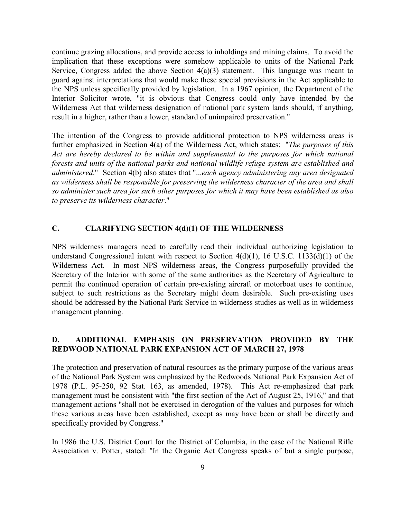continue grazing allocations, and provide access to inholdings and mining claims. To avoid the implication that these exceptions were somehow applicable to units of the National Park Service, Congress added the above Section  $4(a)(3)$  statement. This language was meant to guard against interpretations that would make these special provisions in the Act applicable to the NPS unless specifically provided by legislation. In a 1967 opinion, the Department of the Interior Solicitor wrote, "it is obvious that Congress could only have intended by the Wilderness Act that wilderness designation of national park system lands should, if anything, result in a higher, rather than a lower, standard of unimpaired preservation."

The intention of the Congress to provide additional protection to NPS wilderness areas is further emphasized in Section 4(a) of the Wilderness Act, which states: "*The purposes of this Act are hereby declared to be within and supplemental to the purposes for which national forests and units of the national parks and national wildlife refuge system are established and administered*." Section 4(b) also states that "...*each agency administering any area designated as wilderness shall be responsible for preserving the wilderness character of the area and shall so administer such area for such other purposes for which it may have been established as also to preserve its wilderness character*."

#### **C. CLARIFYING SECTION 4(d)(1) OF THE WILDERNESS**

NPS wilderness managers need to carefully read their individual authorizing legislation to understand Congressional intent with respect to Section  $4(d)(1)$ , 16 U.S.C. 1133 $(d)(1)$  of the Wilderness Act. In most NPS wilderness areas, the Congress purposefully provided the Secretary of the Interior with some of the same authorities as the Secretary of Agriculture to permit the continued operation of certain pre-existing aircraft or motorboat uses to continue, subject to such restrictions as the Secretary might deem desirable. Such pre-existing uses should be addressed by the National Park Service in wilderness studies as well as in wilderness management planning.

#### **D. ADDITIONAL EMPHASIS ON PRESERVATION PROVIDED BY THE REDWOOD NATIONAL PARK EXPANSION ACT OF MARCH 27, 1978**

The protection and preservation of natural resources as the primary purpose of the various areas of the National Park System was emphasized by the Redwoods National Park Expansion Act of 1978 (P.L. 95-250, 92 Stat. 163, as amended, 1978). This Act re-emphasized that park management must be consistent with "the first section of the Act of August 25, 1916," and that management actions "shall not be exercised in derogation of the values and purposes for which these various areas have been established, except as may have been or shall be directly and specifically provided by Congress."

In 1986 the U.S. District Court for the District of Columbia, in the case of the National Rifle Association v. Potter, stated: "In the Organic Act Congress speaks of but a single purpose,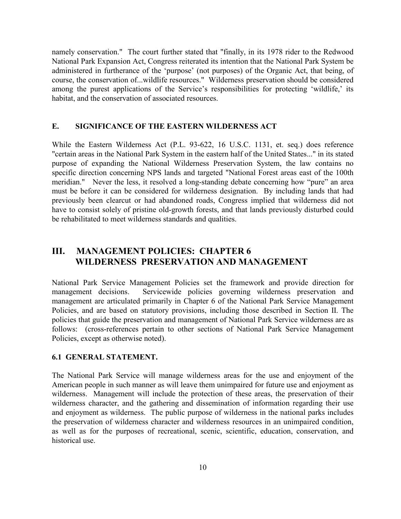namely conservation." The court further stated that "finally, in its 1978 rider to the Redwood National Park Expansion Act, Congress reiterated its intention that the National Park System be administered in furtherance of the 'purpose' (not purposes) of the Organic Act, that being, of course, the conservation of...wildlife resources." Wilderness preservation should be considered among the purest applications of the Service's responsibilities for protecting 'wildlife,' its habitat, and the conservation of associated resources.

#### **E. SIGNIFICANCE OF THE EASTERN WILDERNESS ACT**

While the Eastern Wilderness Act (P.L. 93-622, 16 U.S.C. 1131, et. seq.) does reference "certain areas in the National Park System in the eastern half of the United States..." in its stated purpose of expanding the National Wilderness Preservation System, the law contains no specific direction concerning NPS lands and targeted "National Forest areas east of the 100th meridian." Never the less, it resolved a long-standing debate concerning how "pure" an area must be before it can be considered for wilderness designation. By including lands that had previously been clearcut or had abandoned roads, Congress implied that wilderness did not have to consist solely of pristine old-growth forests, and that lands previously disturbed could be rehabilitated to meet wilderness standards and qualities.

## **III. MANAGEMENT POLICIES: CHAPTER 6 WILDERNESS PRESERVATION AND MANAGEMENT**

National Park Service Management Policies set the framework and provide direction for management decisions. Servicewide policies governing wilderness preservation and management are articulated primarily in Chapter 6 of the National Park Service Management Policies, and are based on statutory provisions, including those described in Section II. The policies that guide the preservation and management of National Park Service wilderness are as follows: (cross-references pertain to other sections of National Park Service Management Policies, except as otherwise noted).

#### **6.1 GENERAL STATEMENT.**

The National Park Service will manage wilderness areas for the use and enjoyment of the American people in such manner as will leave them unimpaired for future use and enjoyment as wilderness. Management will include the protection of these areas, the preservation of their wilderness character, and the gathering and dissemination of information regarding their use and enjoyment as wilderness. The public purpose of wilderness in the national parks includes the preservation of wilderness character and wilderness resources in an unimpaired condition, as well as for the purposes of recreational, scenic, scientific, education, conservation, and historical use.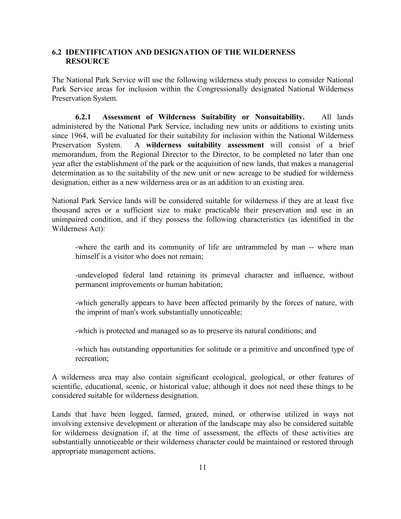#### **6.2 IDENTIFICATION AND DESIGNATION OF THE WILDERNESS RESOURCE**

The National Park Service will use the following wilderness study process to consider National Park Service areas for inclusion within the Congressionally designated National Wilderness Preservation System.

**6.2.1 Assessment of Wilderness Suitability or Nonsuitability.** All lands administered by the National Park Service, including new units or additions to existing units since 1964, will be evaluated for their suitability for inclusion within the National Wilderness Preservation System. A **wilderness suitability assessment** will consist of a brief memorandum, from the Regional Director to the Director, to be completed no later than one year after the establishment of the park or the acquisition of new lands, that makes a managerial determination as to the suitability of the new unit or new acreage to be studied for wilderness designation, either as a new wilderness area or as an addition to an existing area.

National Park Service lands will be considered suitable for wilderness if they are at least five thousand acres or a sufficient size to make practicable their preservation and use in an unimpaired condition, and if they possess the following characteristics (as identified in the Wilderness Act):

-where the earth and its community of life are untrammeled by man -- where man himself is a visitor who does not remain;

-undeveloped federal land retaining its primeval character and influence, without permanent improvements or human habitation;

-which generally appears to have been affected primarily by the forces of nature, with the imprint of man's work substantially unnoticeable;

-which is protected and managed so as to preserve its natural conditions; and

-which has outstanding opportunities for solitude or a primitive and unconfined type of recreation;

A wilderness area may also contain significant ecological, geological, or other features of scientific, educational, scenic, or historical value; although it does not need these things to be considered suitable for wilderness designation.

Lands that have been logged, farmed, grazed, mined, or otherwise utilized in ways not involving extensive development or alteration of the landscape may also be considered suitable for wilderness designation if, at the time of assessment, the effects of these activities are substantially unnoticeable or their wilderness character could be maintained or restored through appropriate management actions.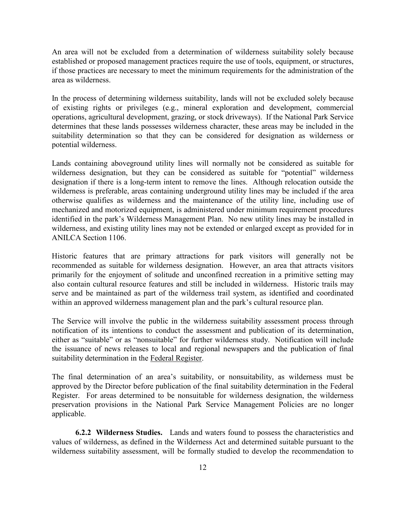An area will not be excluded from a determination of wilderness suitability solely because established or proposed management practices require the use of tools, equipment, or structures, if those practices are necessary to meet the minimum requirements for the administration of the area as wilderness.

In the process of determining wilderness suitability, lands will not be excluded solely because of existing rights or privileges (e.g., mineral exploration and development, commercial operations, agricultural development, grazing, or stock driveways). If the National Park Service determines that these lands possesses wilderness character, these areas may be included in the suitability determination so that they can be considered for designation as wilderness or potential wilderness.

Lands containing aboveground utility lines will normally not be considered as suitable for wilderness designation, but they can be considered as suitable for "potential" wilderness designation if there is a long-term intent to remove the lines. Although relocation outside the wilderness is preferable, areas containing underground utility lines may be included if the area otherwise qualifies as wilderness and the maintenance of the utility line, including use of mechanized and motorized equipment, is administered under minimum requirement procedures identified in the park's Wilderness Management Plan. No new utility lines may be installed in wilderness, and existing utility lines may not be extended or enlarged except as provided for in ANILCA Section 1106.

Historic features that are primary attractions for park visitors will generally not be recommended as suitable for wilderness designation. However, an area that attracts visitors primarily for the enjoyment of solitude and unconfined recreation in a primitive setting may also contain cultural resource features and still be included in wilderness. Historic trails may serve and be maintained as part of the wilderness trail system, as identified and coordinated within an approved wilderness management plan and the park's cultural resource plan.

The Service will involve the public in the wilderness suitability assessment process through notification of its intentions to conduct the assessment and publication of its determination, either as "suitable" or as "nonsuitable" for further wilderness study. Notification will include the issuance of news releases to local and regional newspapers and the publication of final suitability determination in the Federal Register.

The final determination of an area's suitability, or nonsuitability, as wilderness must be approved by the Director before publication of the final suitability determination in the Federal Register. For areas determined to be nonsuitable for wilderness designation, the wilderness preservation provisions in the National Park Service Management Policies are no longer applicable.

**6.2.2 Wilderness Studies.** Lands and waters found to possess the characteristics and values of wilderness, as defined in the Wilderness Act and determined suitable pursuant to the wilderness suitability assessment, will be formally studied to develop the recommendation to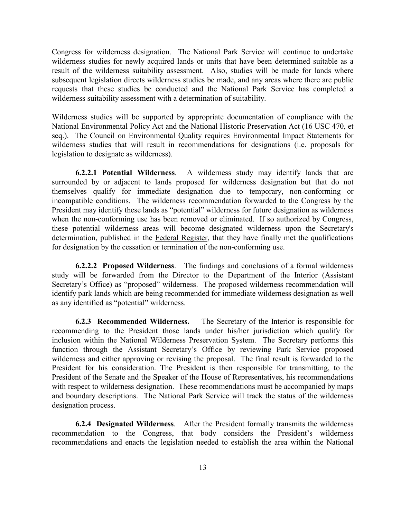Congress for wilderness designation. The National Park Service will continue to undertake wilderness studies for newly acquired lands or units that have been determined suitable as a result of the wilderness suitability assessment. Also, studies will be made for lands where subsequent legislation directs wilderness studies be made, and any areas where there are public requests that these studies be conducted and the National Park Service has completed a wilderness suitability assessment with a determination of suitability.

Wilderness studies will be supported by appropriate documentation of compliance with the National Environmental Policy Act and the National Historic Preservation Act (16 USC 470, et seq.). The Council on Environmental Quality requires Environmental Impact Statements for wilderness studies that will result in recommendations for designations (i.e. proposals for legislation to designate as wilderness).

**6.2.2.1 Potential Wilderness**. A wilderness study may identify lands that are surrounded by or adjacent to lands proposed for wilderness designation but that do not themselves qualify for immediate designation due to temporary, non-conforming or incompatible conditions. The wilderness recommendation forwarded to the Congress by the President may identify these lands as "potential" wilderness for future designation as wilderness when the non-conforming use has been removed or eliminated. If so authorized by Congress, these potential wilderness areas will become designated wilderness upon the Secretary's determination, published in the Federal Register, that they have finally met the qualifications for designation by the cessation or termination of the non-conforming use.

**6.2.2.2 Proposed Wilderness**. The findings and conclusions of a formal wilderness study will be forwarded from the Director to the Department of the Interior (Assistant Secretary's Office) as "proposed" wilderness. The proposed wilderness recommendation will identify park lands which are being recommended for immediate wilderness designation as well as any identified as "potential" wilderness.

**6.2.3 Recommended Wilderness.** The Secretary of the Interior is responsible for recommending to the President those lands under his/her jurisdiction which qualify for inclusion within the National Wilderness Preservation System. The Secretary performs this function through the Assistant Secretary's Office by reviewing Park Service proposed wilderness and either approving or revising the proposal. The final result is forwarded to the President for his consideration. The President is then responsible for transmitting, to the President of the Senate and the Speaker of the House of Representatives, his recommendations with respect to wilderness designation. These recommendations must be accompanied by maps and boundary descriptions. The National Park Service will track the status of the wilderness designation process.

**6.2.4 Designated Wilderness**. After the President formally transmits the wilderness recommendation to the Congress, that body considers the President's wilderness recommendations and enacts the legislation needed to establish the area within the National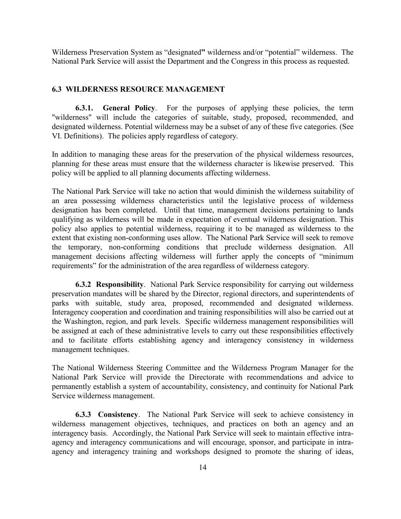Wilderness Preservation System as "designated**"** wilderness and/or "potential" wilderness. The National Park Service will assist the Department and the Congress in this process as requested.

#### **6.3 WILDERNESS RESOURCE MANAGEMENT**

**6.3.1. General Policy**. For the purposes of applying these policies, the term "wilderness" will include the categories of suitable, study, proposed, recommended, and designated wilderness. Potential wilderness may be a subset of any of these five categories. (See VI. Definitions). The policies apply regardless of category.

In addition to managing these areas for the preservation of the physical wilderness resources, planning for these areas must ensure that the wilderness character is likewise preserved. This policy will be applied to all planning documents affecting wilderness.

The National Park Service will take no action that would diminish the wilderness suitability of an area possessing wilderness characteristics until the legislative process of wilderness designation has been completed. Until that time, management decisions pertaining to lands qualifying as wilderness will be made in expectation of eventual wilderness designation. This policy also applies to potential wilderness, requiring it to be managed as wilderness to the extent that existing non-conforming uses allow. The National Park Service will seek to remove the temporary, non-conforming conditions that preclude wilderness designation. All management decisions affecting wilderness will further apply the concepts of "minimum requirements" for the administration of the area regardless of wilderness category.

**6.3.2 Responsibility**. National Park Service responsibility for carrying out wilderness preservation mandates will be shared by the Director, regional directors, and superintendents of parks with suitable, study area, proposed, recommended and designated wilderness. Interagency cooperation and coordination and training responsibilities will also be carried out at the Washington, region, and park levels. Specific wilderness management responsibilities will be assigned at each of these administrative levels to carry out these responsibilities effectively and to facilitate efforts establishing agency and interagency consistency in wilderness management techniques.

The National Wilderness Steering Committee and the Wilderness Program Manager for the National Park Service will provide the Directorate with recommendations and advice to permanently establish a system of accountability, consistency, and continuity for National Park Service wilderness management.

**6.3.3 Consistency**. The National Park Service will seek to achieve consistency in wilderness management objectives, techniques, and practices on both an agency and an interagency basis. Accordingly, the National Park Service will seek to maintain effective intraagency and interagency communications and will encourage, sponsor, and participate in intraagency and interagency training and workshops designed to promote the sharing of ideas,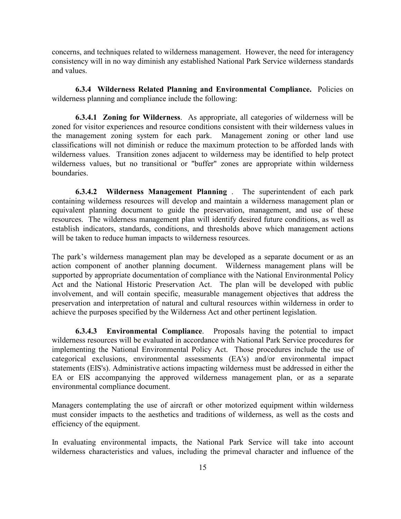concerns, and techniques related to wilderness management. However, the need for interagency consistency will in no way diminish any established National Park Service wilderness standards and values.

**6.3.4 Wilderness Related Planning and Environmental Compliance.** Policies on wilderness planning and compliance include the following:

**6.3.4.1 Zoning for Wilderness**. As appropriate, all categories of wilderness will be zoned for visitor experiences and resource conditions consistent with their wilderness values in the management zoning system for each park. Management zoning or other land use classifications will not diminish or reduce the maximum protection to be afforded lands with wilderness values. Transition zones adjacent to wilderness may be identified to help protect wilderness values, but no transitional or "buffer" zones are appropriate within wilderness boundaries.

**6.3.4.2 Wilderness Management Planning** . The superintendent of each park containing wilderness resources will develop and maintain a wilderness management plan or equivalent planning document to guide the preservation, management, and use of these resources. The wilderness management plan will identify desired future conditions, as well as establish indicators, standards, conditions, and thresholds above which management actions will be taken to reduce human impacts to wilderness resources.

The park's wilderness management plan may be developed as a separate document or as an action component of another planning document. Wilderness management plans will be supported by appropriate documentation of compliance with the National Environmental Policy Act and the National Historic Preservation Act. The plan will be developed with public involvement, and will contain specific, measurable management objectives that address the preservation and interpretation of natural and cultural resources within wilderness in order to achieve the purposes specified by the Wilderness Act and other pertinent legislation.

**6.3.4.3 Environmental Compliance**. Proposals having the potential to impact wilderness resources will be evaluated in accordance with National Park Service procedures for implementing the National Environmental Policy Act. Those procedures include the use of categorical exclusions, environmental assessments (EA's) and/or environmental impact statements (EIS's). Administrative actions impacting wilderness must be addressed in either the EA or EIS accompanying the approved wilderness management plan, or as a separate environmental compliance document.

Managers contemplating the use of aircraft or other motorized equipment within wilderness must consider impacts to the aesthetics and traditions of wilderness, as well as the costs and efficiency of the equipment.

In evaluating environmental impacts, the National Park Service will take into account wilderness characteristics and values, including the primeval character and influence of the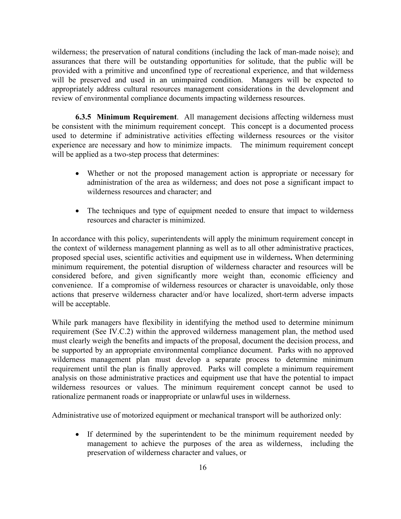wilderness; the preservation of natural conditions (including the lack of man-made noise); and assurances that there will be outstanding opportunities for solitude, that the public will be provided with a primitive and unconfined type of recreational experience, and that wilderness will be preserved and used in an unimpaired condition. Managers will be expected to appropriately address cultural resources management considerations in the development and review of environmental compliance documents impacting wilderness resources.

**6.3.5 Minimum Requirement**. All management decisions affecting wilderness must be consistent with the minimum requirement concept. This concept is a documented process used to determine if administrative activities effecting wilderness resources or the visitor experience are necessary and how to minimize impacts.The minimum requirement concept will be applied as a two-step process that determines:

- Whether or not the proposed management action is appropriate or necessary for administration of the area as wilderness; and does not pose a significant impact to wilderness resources and character; and
- The techniques and type of equipment needed to ensure that impact to wilderness resources and character is minimized.

In accordance with this policy, superintendents will apply the minimum requirement concept in the context of wilderness management planning as well as to all other administrative practices, proposed special uses, scientific activities and equipment use in wilderness**.** When determining minimum requirement, the potential disruption of wilderness character and resources will be considered before, and given significantly more weight than, economic efficiency and convenience. If a compromise of wilderness resources or character is unavoidable, only those actions that preserve wilderness character and/or have localized, short-term adverse impacts will be acceptable.

While park managers have flexibility in identifying the method used to determine minimum requirement (See IV.C.2) within the approved wilderness management plan, the method used must clearly weigh the benefits and impacts of the proposal, document the decision process, and be supported by an appropriate environmental compliance document. Parks with no approved wilderness management plan must develop a separate process to determine minimum requirement until the plan is finally approved. Parks will complete a minimum requirement analysis on those administrative practices and equipment use that have the potential to impact wilderness resources or values. The minimum requirement concept cannot be used to rationalize permanent roads or inappropriate or unlawful uses in wilderness.

Administrative use of motorized equipment or mechanical transport will be authorized only:

• If determined by the superintendent to be the minimum requirement needed by management to achieve the purposes of the area as wilderness, including the preservation of wilderness character and values, or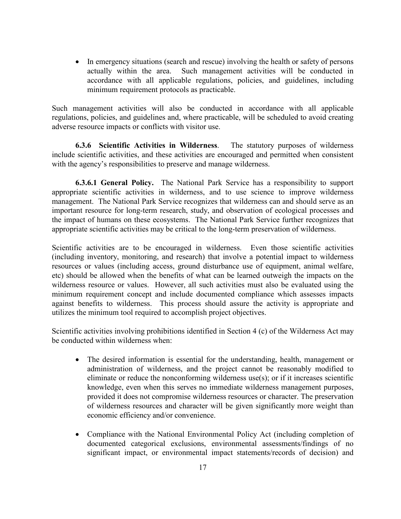• In emergency situations (search and rescue) involving the health or safety of persons actually within the area. Such management activities will be conducted in accordance with all applicable regulations, policies, and guidelines, including minimum requirement protocols as practicable.

Such management activities will also be conducted in accordance with all applicable regulations, policies, and guidelines and, where practicable, will be scheduled to avoid creating adverse resource impacts or conflicts with visitor use.

**6.3.6 Scientific Activities in Wilderness**. The statutory purposes of wilderness include scientific activities, and these activities are encouraged and permitted when consistent with the agency's responsibilities to preserve and manage wilderness.

**6.3.6.1 General Policy.** The National Park Service has a responsibility to support appropriate scientific activities in wilderness, and to use science to improve wilderness management. The National Park Service recognizes that wilderness can and should serve as an important resource for long-term research, study, and observation of ecological processes and the impact of humans on these ecosystems. The National Park Service further recognizes that appropriate scientific activities may be critical to the long-term preservation of wilderness.

Scientific activities are to be encouraged in wilderness. Even those scientific activities (including inventory, monitoring, and research) that involve a potential impact to wilderness resources or values (including access, ground disturbance use of equipment, animal welfare, etc) should be allowed when the benefits of what can be learned outweigh the impacts on the wilderness resource or values. However, all such activities must also be evaluated using the minimum requirement concept and include documented compliance which assesses impacts against benefits to wilderness. This process should assure the activity is appropriate and utilizes the minimum tool required to accomplish project objectives.

Scientific activities involving prohibitions identified in Section 4 (c) of the Wilderness Act may be conducted within wilderness when:

- The desired information is essential for the understanding, health, management or administration of wilderness, and the project cannot be reasonably modified to eliminate or reduce the nonconforming wilderness use(s); or if it increases scientific knowledge, even when this serves no immediate wilderness management purposes, provided it does not compromise wilderness resources or character. The preservation of wilderness resources and character will be given significantly more weight than economic efficiency and/or convenience.
- Compliance with the National Environmental Policy Act (including completion of documented categorical exclusions, environmental assessments/findings of no significant impact, or environmental impact statements/records of decision) and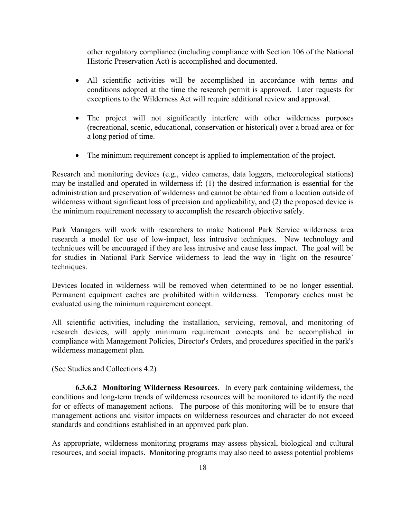other regulatory compliance (including compliance with Section 106 of the National Historic Preservation Act) is accomplished and documented.

- All scientific activities will be accomplished in accordance with terms and conditions adopted at the time the research permit is approved. Later requests for exceptions to the Wilderness Act will require additional review and approval.
- The project will not significantly interfere with other wilderness purposes (recreational, scenic, educational, conservation or historical) over a broad area or for a long period of time.
- The minimum requirement concept is applied to implementation of the project.

Research and monitoring devices (e.g., video cameras, data loggers, meteorological stations) may be installed and operated in wilderness if: (1) the desired information is essential for the administration and preservation of wilderness and cannot be obtained from a location outside of wilderness without significant loss of precision and applicability, and (2) the proposed device is the minimum requirement necessary to accomplish the research objective safely.

Park Managers will work with researchers to make National Park Service wilderness area research a model for use of low-impact, less intrusive techniques. New technology and techniques will be encouraged if they are less intrusive and cause less impact. The goal will be for studies in National Park Service wilderness to lead the way in 'light on the resource' techniques.

Devices located in wilderness will be removed when determined to be no longer essential. Permanent equipment caches are prohibited within wilderness. Temporary caches must be evaluated using the minimum requirement concept.

All scientific activities, including the installation, servicing, removal, and monitoring of research devices, will apply minimum requirement concepts and be accomplished in compliance with Management Policies, Director's Orders, and procedures specified in the park's wilderness management plan.

(See Studies and Collections 4.2)

**6.3.6.2 Monitoring Wilderness Resources**. In every park containing wilderness, the conditions and long-term trends of wilderness resources will be monitored to identify the need for or effects of management actions. The purpose of this monitoring will be to ensure that management actions and visitor impacts on wilderness resources and character do not exceed standards and conditions established in an approved park plan.

As appropriate, wilderness monitoring programs may assess physical, biological and cultural resources, and social impacts. Monitoring programs may also need to assess potential problems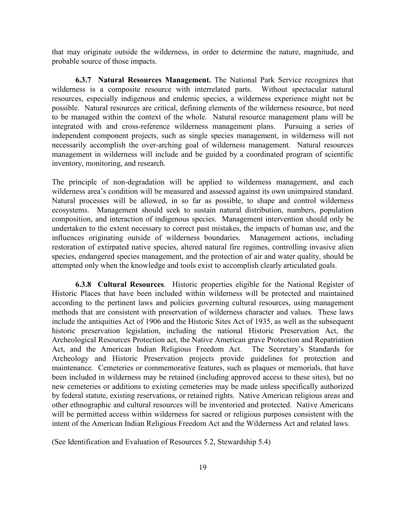that may originate outside the wilderness, in order to determine the nature, magnitude, and probable source of those impacts.

**6.3.7 Natural Resources Management.** The National Park Service recognizes that wilderness is a composite resource with interrelated parts. Without spectacular natural resources, especially indigenous and endemic species, a wilderness experience might not be possible. Natural resources are critical, defining elements of the wilderness resource, but need to be managed within the context of the whole. Natural resource management plans will be integrated with and cross-reference wilderness management plans. Pursuing a series of independent component projects, such as single species management, in wilderness will not necessarily accomplish the over-arching goal of wilderness management. Natural resources management in wilderness will include and be guided by a coordinated program of scientific inventory, monitoring, and research.

The principle of non-degradation will be applied to wilderness management, and each wilderness area's condition will be measured and assessed against its own unimpaired standard. Natural processes will be allowed, in so far as possible, to shape and control wilderness ecosystems. Management should seek to sustain natural distribution, numbers, population composition, and interaction of indigenous species. Management intervention should only be undertaken to the extent necessary to correct past mistakes, the impacts of human use, and the influences originating outside of wilderness boundaries. Management actions, including restoration of extirpated native species, altered natural fire regimes, controlling invasive alien species, endangered species management, and the protection of air and water quality, should be attempted only when the knowledge and tools exist to accomplish clearly articulated goals.

**6.3.8 Cultural Resources**. Historic properties eligible for the National Register of Historic Places that have been included within wilderness will be protected and maintained according to the pertinent laws and policies governing cultural resources, using management methods that are consistent with preservation of wilderness character and values. These laws include the antiquities Act of 1906 and the Historic Sites Act of 1935, as well as the subsequent historic preservation legislation, including the national Historic Preservation Act, the Archeological Resources Protection act, the Native American grave Protection and Repatriation Act, and the American Indian Religious Freedom Act. The Secretary's Standards for Archeology and Historic Preservation projects provide guidelines for protection and maintenance. Cemeteries or commemorative features, such as plaques or memorials, that have been included in wilderness may be retained (including approved access to these sites), but no new cemeteries or additions to existing cemeteries may be made unless specifically authorized by federal statute, existing reservations, or retained rights. Native American religious areas and other ethnographic and cultural resources will be inventoried and protected. Native Americans will be permitted access within wilderness for sacred or religious purposes consistent with the intent of the American Indian Religious Freedom Act and the Wilderness Act and related laws.

(See Identification and Evaluation of Resources 5.2, Stewardship 5.4)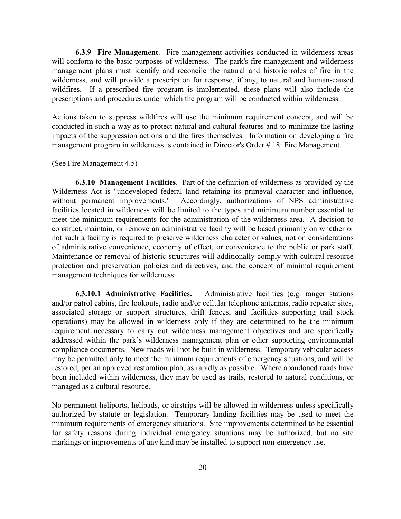**6.3.9 Fire Management**. Fire management activities conducted in wilderness areas will conform to the basic purposes of wilderness. The park's fire management and wilderness management plans must identify and reconcile the natural and historic roles of fire in the wilderness, and will provide a prescription for response, if any, to natural and human-caused wildfires. If a prescribed fire program is implemented, these plans will also include the prescriptions and procedures under which the program will be conducted within wilderness.

Actions taken to suppress wildfires will use the minimum requirement concept, and will be conducted in such a way as to protect natural and cultural features and to minimize the lasting impacts of the suppression actions and the fires themselves. Information on developing a fire management program in wilderness is contained in Director's Order # 18: Fire Management.

(See Fire Management 4.5)

**6.3.10 Management Facilities**. Part of the definition of wilderness as provided by the Wilderness Act is "undeveloped federal land retaining its primeval character and influence, without permanent improvements." Accordingly, authorizations of NPS administrative facilities located in wilderness will be limited to the types and minimum number essential to meet the minimum requirements for the administration of the wilderness area. A decision to construct, maintain, or remove an administrative facility will be based primarily on whether or not such a facility is required to preserve wilderness character or values, not on considerations of administrative convenience, economy of effect, or convenience to the public or park staff. Maintenance or removal of historic structures will additionally comply with cultural resource protection and preservation policies and directives, and the concept of minimal requirement management techniques for wilderness.

**6.3.10.1 Administrative Facilities.** Administrative facilities (e.g. ranger stations and/or patrol cabins, fire lookouts, radio and/or cellular telephone antennas, radio repeater sites, associated storage or support structures, drift fences, and facilities supporting trail stock operations) may be allowed in wilderness only if they are determined to be the minimum requirement necessary to carry out wilderness management objectives and are specifically addressed within the park's wilderness management plan or other supporting environmental compliance documents. New roads will not be built in wilderness. Temporary vehicular access may be permitted only to meet the minimum requirements of emergency situations, and will be restored, per an approved restoration plan, as rapidly as possible. Where abandoned roads have been included within wilderness, they may be used as trails, restored to natural conditions, or managed as a cultural resource.

No permanent heliports, helipads, or airstrips will be allowed in wilderness unless specifically authorized by statute or legislation. Temporary landing facilities may be used to meet the minimum requirements of emergency situations. Site improvements determined to be essential for safety reasons during individual emergency situations may be authorized, but no site markings or improvements of any kind may be installed to support non-emergency use.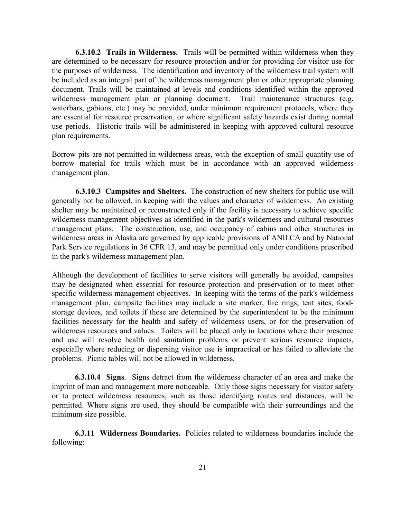**6.3.10.2 Trails in Wilderness.** Trails will be permitted within wilderness when they are determined to be necessary for resource protection and/or for providing for visitor use for the purposes of wilderness. The identification and inventory of the wilderness trail system will be included as an integral part of the wilderness management plan or other appropriate planning document. Trails will be maintained at levels and conditions identified within the approved wilderness management plan or planning document. Trail maintenance structures (e.g. waterbars, gabions, etc.) may be provided, under minimum requirement protocols, where they are essential for resource preservation, or where significant safety hazards exist during normal use periods. Historic trails will be administered in keeping with approved cultural resource plan requirements.

Borrow pits are not permitted in wilderness areas, with the exception of small quantity use of borrow material for trails which must be in accordance with an approved wilderness management plan.

**6.3.10.3 Campsites and Shelters.** The construction of new shelters for public use will generally not be allowed, in keeping with the values and character of wilderness. An existing shelter may be maintained or reconstructed only if the facility is necessary to achieve specific wilderness management objectives as identified in the park's wilderness and cultural resources management plans. The construction, use, and occupancy of cabins and other structures in wilderness areas in Alaska are governed by applicable provisions of ANILCA and by National Park Service regulations in 36 CFR 13, and may be permitted only under conditions prescribed in the park's wilderness management plan.

Although the development of facilities to serve visitors will generally be avoided, campsites may be designated when essential for resource protection and preservation or to meet other specific wilderness management objectives. In keeping with the terms of the park's wilderness management plan, campsite facilities may include a site marker, fire rings, tent sites, foodstorage devices, and toilets if these are determined by the superintendent to be the minimum facilities necessary for the health and safety of wilderness users, or for the preservation of wilderness resources and values. Toilets will be placed only in locations where their presence and use will resolve health and sanitation problems or prevent serious resource impacts, especially where reducing or dispersing visitor use is impractical or has failed to alleviate the problems. Picnic tables will not be allowed in wilderness.

**6.3.10.4 Signs**. Signs detract from the wilderness character of an area and make the imprint of man and management more noticeable. Only those signs necessary for visitor safety or to protect wilderness resources, such as those identifying routes and distances, will be permitted. Where signs are used, they should be compatible with their surroundings and the minimum size possible.

**6.3.11 Wilderness Boundaries.** Policies related to wilderness boundaries include the following: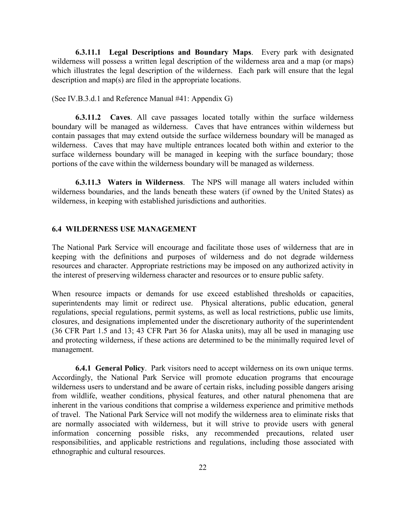**6.3.11.1 Legal Descriptions and Boundary Maps**. Every park with designated wilderness will possess a written legal description of the wilderness area and a map (or maps) which illustrates the legal description of the wilderness. Each park will ensure that the legal description and map(s) are filed in the appropriate locations.

(See IV.B.3.d.1 and Reference Manual #41: Appendix G)

**6.3.11.2 Caves**. All cave passages located totally within the surface wilderness boundary will be managed as wilderness. Caves that have entrances within wilderness but contain passages that may extend outside the surface wilderness boundary will be managed as wilderness. Caves that may have multiple entrances located both within and exterior to the surface wilderness boundary will be managed in keeping with the surface boundary; those portions of the cave within the wilderness boundary will be managed as wilderness.

**6.3.11.3 Waters in Wilderness**. The NPS will manage all waters included within wilderness boundaries, and the lands beneath these waters (if owned by the United States) as wilderness, in keeping with established jurisdictions and authorities.

#### **6.4 WILDERNESS USE MANAGEMENT**

The National Park Service will encourage and facilitate those uses of wilderness that are in keeping with the definitions and purposes of wilderness and do not degrade wilderness resources and character. Appropriate restrictions may be imposed on any authorized activity in the interest of preserving wilderness character and resources or to ensure public safety.

When resource impacts or demands for use exceed established thresholds or capacities, superintendents may limit or redirect use. Physical alterations, public education, general regulations, special regulations, permit systems, as well as local restrictions, public use limits, closures, and designations implemented under the discretionary authority of the superintendent (36 CFR Part 1.5 and 13; 43 CFR Part 36 for Alaska units), may all be used in managing use and protecting wilderness, if these actions are determined to be the minimally required level of management.

**6.4.1 General Policy**. Park visitors need to accept wilderness on its own unique terms. Accordingly, the National Park Service will promote education programs that encourage wilderness users to understand and be aware of certain risks, including possible dangers arising from wildlife, weather conditions, physical features, and other natural phenomena that are inherent in the various conditions that comprise a wilderness experience and primitive methods of travel. The National Park Service will not modify the wilderness area to eliminate risks that are normally associated with wilderness, but it will strive to provide users with general information concerning possible risks, any recommended precautions, related user responsibilities, and applicable restrictions and regulations, including those associated with ethnographic and cultural resources.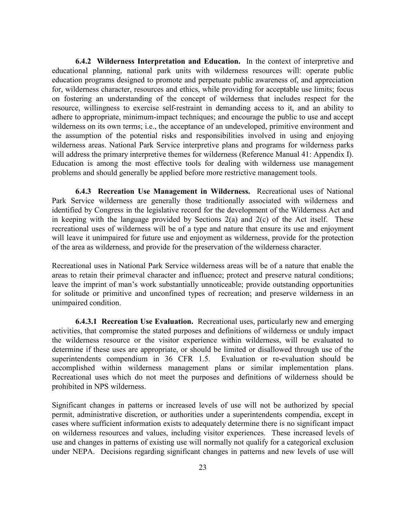**6.4.2 Wilderness Interpretation and Education.** In the context of interpretive and educational planning, national park units with wilderness resources will: operate public education programs designed to promote and perpetuate public awareness of, and appreciation for, wilderness character, resources and ethics, while providing for acceptable use limits; focus on fostering an understanding of the concept of wilderness that includes respect for the resource, willingness to exercise self-restraint in demanding access to it, and an ability to adhere to appropriate, minimum-impact techniques; and encourage the public to use and accept wilderness on its own terms; i.e., the acceptance of an undeveloped, primitive environment and the assumption of the potential risks and responsibilities involved in using and enjoying wilderness areas. National Park Service interpretive plans and programs for wilderness parks will address the primary interpretive themes for wilderness (Reference Manual 41: Appendix I). Education is among the most effective tools for dealing with wilderness use management problems and should generally be applied before more restrictive management tools.

**6.4.3 Recreation Use Management in Wilderness.** Recreational uses of National Park Service wilderness are generally those traditionally associated with wilderness and identified by Congress in the legislative record for the development of the Wilderness Act and in keeping with the language provided by Sections  $2(a)$  and  $2(c)$  of the Act itself. These recreational uses of wilderness will be of a type and nature that ensure its use and enjoyment will leave it unimpaired for future use and enjoyment as wilderness, provide for the protection of the area as wilderness, and provide for the preservation of the wilderness character.

Recreational uses in National Park Service wilderness areas will be of a nature that enable the areas to retain their primeval character and influence; protect and preserve natural conditions; leave the imprint of man's work substantially unnoticeable; provide outstanding opportunities for solitude or primitive and unconfined types of recreation; and preserve wilderness in an unimpaired condition.

**6.4.3.1 Recreation Use Evaluation.** Recreational uses, particularly new and emerging activities, that compromise the stated purposes and definitions of wilderness or unduly impact the wilderness resource or the visitor experience within wilderness, will be evaluated to determine if these uses are appropriate, or should be limited or disallowed through use of the superintendents compendium in 36 CFR 1.5. Evaluation or re-evaluation should be accomplished within wilderness management plans or similar implementation plans. Recreational uses which do not meet the purposes and definitions of wilderness should be prohibited in NPS wilderness.

Significant changes in patterns or increased levels of use will not be authorized by special permit, administrative discretion, or authorities under a superintendents compendia, except in cases where sufficient information exists to adequately determine there is no significant impact on wilderness resources and values, including visitor experiences. These increased levels of use and changes in patterns of existing use will normally not qualify for a categorical exclusion under NEPA. Decisions regarding significant changes in patterns and new levels of use will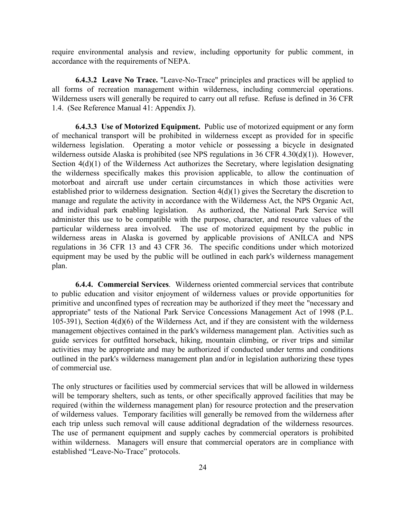require environmental analysis and review, including opportunity for public comment, in accordance with the requirements of NEPA.

**6.4.3.2 Leave No Trace.** "Leave-No-Trace" principles and practices will be applied to all forms of recreation management within wilderness, including commercial operations. Wilderness users will generally be required to carry out all refuse. Refuse is defined in 36 CFR 1.4. (See Reference Manual 41: Appendix J).

**6.4.3.3 Use of Motorized Equipment.** Public use of motorized equipment or any form of mechanical transport will be prohibited in wilderness except as provided for in specific wilderness legislation. Operating a motor vehicle or possessing a bicycle in designated wilderness outside Alaska is prohibited (see NPS regulations in 36 CFR 4.30(d)(1)). However, Section  $4(d)(1)$  of the Wilderness Act authorizes the Secretary, where legislation designating the wilderness specifically makes this provision applicable, to allow the continuation of motorboat and aircraft use under certain circumstances in which those activities were established prior to wilderness designation. Section 4(d)(1) gives the Secretary the discretion to manage and regulate the activity in accordance with the Wilderness Act, the NPS Organic Act, and individual park enabling legislation. As authorized, the National Park Service will administer this use to be compatible with the purpose, character, and resource values of the particular wilderness area involved. The use of motorized equipment by the public in wilderness areas in Alaska is governed by applicable provisions of ANILCA and NPS regulations in 36 CFR 13 and 43 CFR 36. The specific conditions under which motorized equipment may be used by the public will be outlined in each park's wilderness management plan.

**6.4.4. Commercial Services**. Wilderness oriented commercial services that contribute to public education and visitor enjoyment of wilderness values or provide opportunities for primitive and unconfined types of recreation may be authorized if they meet the "necessary and appropriate" tests of the National Park Service Concessions Management Act of 1998 (P.L. 105-391), Section 4(d)(6) of the Wilderness Act, and if they are consistent with the wilderness management objectives contained in the park's wilderness management plan. Activities such as guide services for outfitted horseback, hiking, mountain climbing, or river trips and similar activities may be appropriate and may be authorized if conducted under terms and conditions outlined in the park's wilderness management plan and/or in legislation authorizing these types of commercial use.

The only structures or facilities used by commercial services that will be allowed in wilderness will be temporary shelters, such as tents, or other specifically approved facilities that may be required (within the wilderness management plan) for resource protection and the preservation of wilderness values. Temporary facilities will generally be removed from the wilderness after each trip unless such removal will cause additional degradation of the wilderness resources. The use of permanent equipment and supply caches by commercial operators is prohibited within wilderness. Managers will ensure that commercial operators are in compliance with established "Leave-No-Trace" protocols.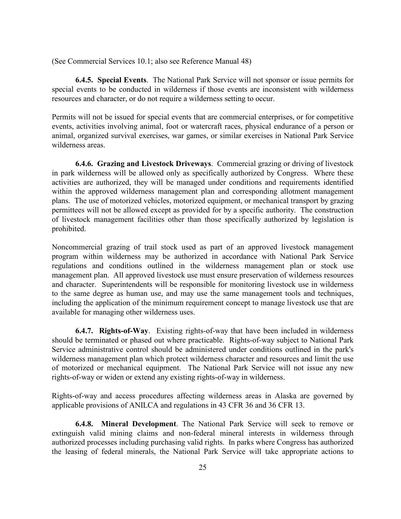(See Commercial Services 10.1; also see Reference Manual 48)

**6.4.5. Special Events**. The National Park Service will not sponsor or issue permits for special events to be conducted in wilderness if those events are inconsistent with wilderness resources and character, or do not require a wilderness setting to occur.

Permits will not be issued for special events that are commercial enterprises, or for competitive events, activities involving animal, foot or watercraft races, physical endurance of a person or animal, organized survival exercises, war games, or similar exercises in National Park Service wilderness areas.

**6.4.6. Grazing and Livestock Driveways**. Commercial grazing or driving of livestock in park wilderness will be allowed only as specifically authorized by Congress. Where these activities are authorized, they will be managed under conditions and requirements identified within the approved wilderness management plan and corresponding allotment management plans. The use of motorized vehicles, motorized equipment, or mechanical transport by grazing permittees will not be allowed except as provided for by a specific authority. The construction of livestock management facilities other than those specifically authorized by legislation is prohibited.

Noncommercial grazing of trail stock used as part of an approved livestock management program within wilderness may be authorized in accordance with National Park Service regulations and conditions outlined in the wilderness management plan or stock use management plan. All approved livestock use must ensure preservation of wilderness resources and character. Superintendents will be responsible for monitoring livestock use in wilderness to the same degree as human use, and may use the same management tools and techniques, including the application of the minimum requirement concept to manage livestock use that are available for managing other wilderness uses.

**6.4.7. Rights-of-Way**. Existing rights-of-way that have been included in wilderness should be terminated or phased out where practicable. Rights-of-way subject to National Park Service administrative control should be administered under conditions outlined in the park's wilderness management plan which protect wilderness character and resources and limit the use of motorized or mechanical equipment. The National Park Service will not issue any new rights-of-way or widen or extend any existing rights-of-way in wilderness.

Rights-of-way and access procedures affecting wilderness areas in Alaska are governed by applicable provisions of ANILCA and regulations in 43 CFR 36 and 36 CFR 13.

**6.4.8. Mineral Development**. The National Park Service will seek to remove or extinguish valid mining claims and non-federal mineral interests in wilderness through authorized processes including purchasing valid rights. In parks where Congress has authorized the leasing of federal minerals, the National Park Service will take appropriate actions to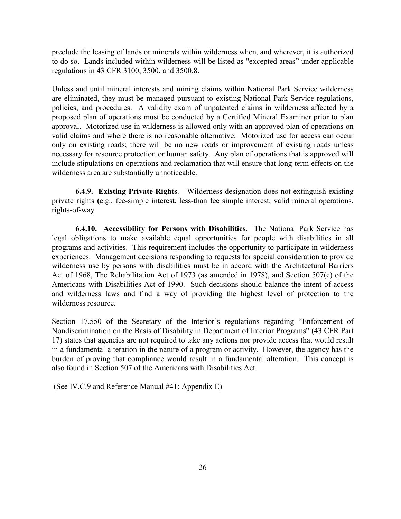preclude the leasing of lands or minerals within wilderness when, and wherever, it is authorized to do so. Lands included within wilderness will be listed as "excepted areas" under applicable regulations in 43 CFR 3100, 3500, and 3500.8.

Unless and until mineral interests and mining claims within National Park Service wilderness are eliminated, they must be managed pursuant to existing National Park Service regulations, policies, and procedures. A validity exam of unpatented claims in wilderness affected by a proposed plan of operations must be conducted by a Certified Mineral Examiner prior to plan approval. Motorized use in wilderness is allowed only with an approved plan of operations on valid claims and where there is no reasonable alternative. Motorized use for access can occur only on existing roads; there will be no new roads or improvement of existing roads unless necessary for resource protection or human safety. Any plan of operations that is approved will include stipulations on operations and reclamation that will ensure that long-term effects on the wilderness area are substantially unnoticeable.

**6.4.9. Existing Private Rights**. Wilderness designation does not extinguish existing private rights **(**e.g., fee-simple interest, less-than fee simple interest, valid mineral operations, rights-of-way

**6.4.10. Accessibility for Persons with Disabilities**. The National Park Service has legal obligations to make available equal opportunities for people with disabilities in all programs and activities. This requirement includes the opportunity to participate in wilderness experiences. Management decisions responding to requests for special consideration to provide wilderness use by persons with disabilities must be in accord with the Architectural Barriers Act of 1968, The Rehabilitation Act of 1973 (as amended in 1978), and Section 507(c) of the Americans with Disabilities Act of 1990. Such decisions should balance the intent of access and wilderness laws and find a way of providing the highest level of protection to the wilderness resource.

Section 17.550 of the Secretary of the Interior's regulations regarding "Enforcement of Nondiscrimination on the Basis of Disability in Department of Interior Programs" (43 CFR Part 17) states that agencies are not required to take any actions nor provide access that would result in a fundamental alteration in the nature of a program or activity. However, the agency has the burden of proving that compliance would result in a fundamental alteration. This concept is also found in Section 507 of the Americans with Disabilities Act.

(See IV.C.9 and Reference Manual #41: Appendix E)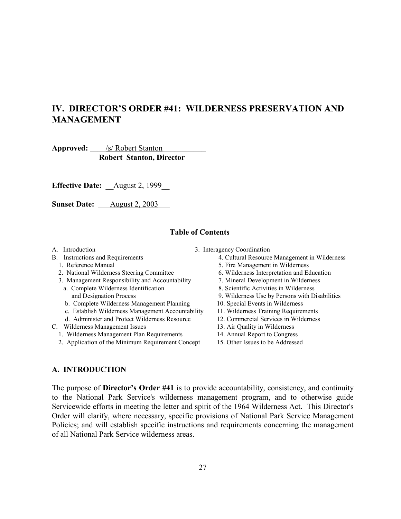# **IV. DIRECTOR'S ORDER #41: WILDERNESS PRESERVATION AND MANAGEMENT**

**Approved: \_\_\_\_**/s/ Robert Stanton**\_\_\_\_\_\_\_\_\_\_\_ Robert Stanton, Director**

**Effective Date: \_\_**August 2, 1999**\_\_**

**Sunset Date:** <u>August 2, 2003</u>

#### **Table of Contents**

- 
- -
- 2. National Wilderness Steering Committee 6. Wilderness Interpretation and Education
- 3. Management Responsibility and Accountability 7. Mineral Development in Wilderness a. Complete Wilderness Identification 8. Scientific Activities in Wilderness
	-
	- b. Complete Wilderness Management Planning 10. Special Events in Wilderness
	- c. Establish Wilderness Management Accountability 11. Wilderness Training Requirements
	-
- C. Wilderness Management Issues 13. Air Quality in Wilderness
	- 1. Wilderness Management Plan Requirements 14. Annual Report to Congress
	- 2. Application of the Minimum Requirement Concept 15. Other Issues to be Addressed
- A. Introduction 3. Interagency Coordination
- B. Instructions and Requirements 4. Cultural Resource Management in Wilderness
	- 1. Reference Manual 5. Fire Management in Wilderness
		-
		-
		-
		- and Designation Process 9. Wilderness Use by Persons with Disabilities
			-
			-
		- d. Administer and Protect Wilderness Resource 12. Commercial Services in Wilderness
			-
			-
			-

#### **A. INTRODUCTION**

The purpose of **Director's Order #41** is to provide accountability, consistency, and continuity to the National Park Service's wilderness management program, and to otherwise guide Servicewide efforts in meeting the letter and spirit of the 1964 Wilderness Act. This Director's Order will clarify, where necessary, specific provisions of National Park Service Management Policies; and will establish specific instructions and requirements concerning the management of all National Park Service wilderness areas.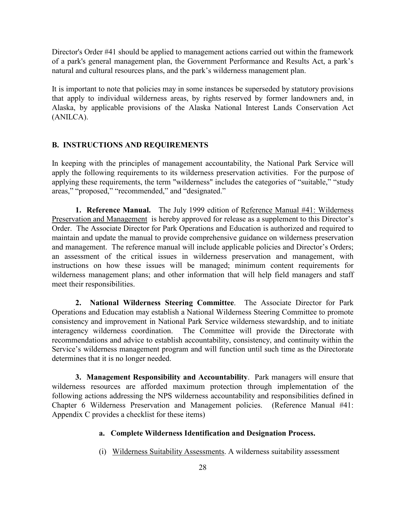Director's Order #41 should be applied to management actions carried out within the framework of a park's general management plan, the Government Performance and Results Act, a park's natural and cultural resources plans, and the park's wilderness management plan.

It is important to note that policies may in some instances be superseded by statutory provisions that apply to individual wilderness areas, by rights reserved by former landowners and, in Alaska, by applicable provisions of the Alaska National Interest Lands Conservation Act (ANILCA).

#### **B. INSTRUCTIONS AND REQUIREMENTS**

In keeping with the principles of management accountability, the National Park Service will apply the following requirements to its wilderness preservation activities. For the purpose of applying these requirements, the term "wilderness" includes the categories of "suitable," "study areas," "proposed," "recommended," and "designated."

**1. Reference Manual.** The July 1999 edition of Reference Manual #41: Wilderness Preservation and Management is hereby approved for release as a supplement to this Director's Order. The Associate Director for Park Operations and Education is authorized and required to maintain and update the manual to provide comprehensive guidance on wilderness preservation and management. The reference manual will include applicable policies and Director's Orders; an assessment of the critical issues in wilderness preservation and management, with instructions on how these issues will be managed; minimum content requirements for wilderness management plans; and other information that will help field managers and staff meet their responsibilities.

**2. National Wilderness Steering Committee**. The Associate Director for Park Operations and Education may establish a National Wilderness Steering Committee to promote consistency and improvement in National Park Service wilderness stewardship, and to initiate interagency wilderness coordination. The Committee will provide the Directorate with recommendations and advice to establish accountability, consistency, and continuity within the Service's wilderness management program and will function until such time as the Directorate determines that it is no longer needed.

**3. Management Responsibility and Accountability**. Park managers will ensure that wilderness resources are afforded maximum protection through implementation of the following actions addressing the NPS wilderness accountability and responsibilities defined in Chapter 6 Wilderness Preservation and Management policies. (Reference Manual #41: Appendix C provides a checklist for these items)

#### **a. Complete Wilderness Identification and Designation Process.**

(i) Wilderness Suitability Assessments. A wilderness suitability assessment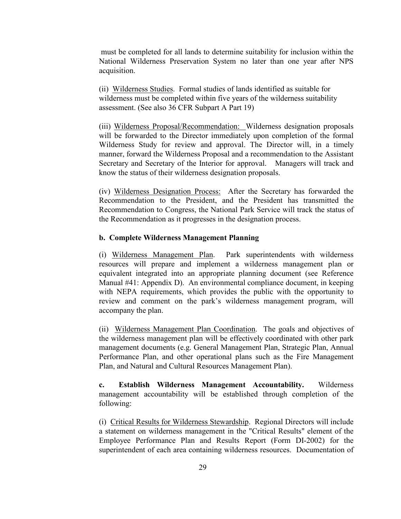must be completed for all lands to determine suitability for inclusion within the National Wilderness Preservation System no later than one year after NPS acquisition.

(ii) Wilderness Studies.Formal studies of lands identified as suitable for wilderness must be completed within five years of the wilderness suitability assessment. (See also 36 CFR Subpart A Part 19)

(iii) Wilderness Proposal/Recommendation: Wilderness designation proposals will be forwarded to the Director immediately upon completion of the formal Wilderness Study for review and approval. The Director will, in a timely manner, forward the Wilderness Proposal and a recommendation to the Assistant Secretary and Secretary of the Interior for approval. Managers will track and know the status of their wilderness designation proposals.

(iv) Wilderness Designation Process: After the Secretary has forwarded the Recommendation to the President, and the President has transmitted the Recommendation to Congress, the National Park Service will track the status of the Recommendation as it progresses in the designation process.

#### **b. Complete Wilderness Management Planning**

(i) Wilderness Management Plan. Park superintendents with wilderness resources will prepare and implement a wilderness management plan or equivalent integrated into an appropriate planning document (see Reference Manual #41: Appendix D). An environmental compliance document, in keeping with NEPA requirements, which provides the public with the opportunity to review and comment on the park's wilderness management program, will accompany the plan.

(ii) Wilderness Management Plan Coordination. The goals and objectives of the wilderness management plan will be effectively coordinated with other park management documents (e.g. General Management Plan, Strategic Plan, Annual Performance Plan, and other operational plans such as the Fire Management Plan, and Natural and Cultural Resources Management Plan).

**c. Establish Wilderness Management Accountability.** Wilderness management accountability will be established through completion of the following:

(i) Critical Results for Wilderness Stewardship. Regional Directors will include a statement on wilderness management in the "Critical Results" element of the Employee Performance Plan and Results Report (Form DI-2002) for the superintendent of each area containing wilderness resources. Documentation of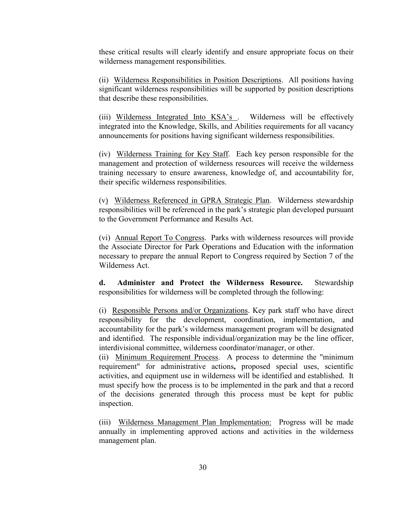these critical results will clearly identify and ensure appropriate focus on their wilderness management responsibilities.

(ii) Wilderness Responsibilities in Position Descriptions. All positions having significant wilderness responsibilities will be supported by position descriptions that describe these responsibilities.

(iii) Wilderness Integrated Into KSA's . Wilderness will be effectively integrated into the Knowledge, Skills, and Abilities requirements for all vacancy announcements for positions having significant wilderness responsibilities.

(iv) Wilderness Training for Key Staff. Each key person responsible for the management and protection of wilderness resources will receive the wilderness training necessary to ensure awareness, knowledge of, and accountability for, their specific wilderness responsibilities.

(v) Wilderness Referenced in GPRA Strategic Plan. Wilderness stewardship responsibilities will be referenced in the park's strategic plan developed pursuant to the Government Performance and Results Act.

(vi) Annual Report To Congress. Parks with wilderness resources will provide the Associate Director for Park Operations and Education with the information necessary to prepare the annual Report to Congress required by Section 7 of the Wilderness Act.

**d. Administer and Protect the Wilderness Resource.** Stewardship responsibilities for wilderness will be completed through the following:

(i) Responsible Persons and/or Organizations. Key park staff who have direct responsibility for the development, coordination, implementation, and accountability for the park's wilderness management program will be designated and identified. The responsible individual/organization may be the line officer, interdivisional committee, wilderness coordinator/manager, or other.

(ii) Minimum Requirement Process. A process to determine the "minimum requirement" for administrative actions**,** proposed special uses, scientific activities, and equipment use in wilderness will be identified and established. It must specify how the process is to be implemented in the park and that a record of the decisions generated through this process must be kept for public inspection.

(iii) Wilderness Management Plan Implementation: Progress will be made annually in implementing approved actions and activities in the wilderness management plan.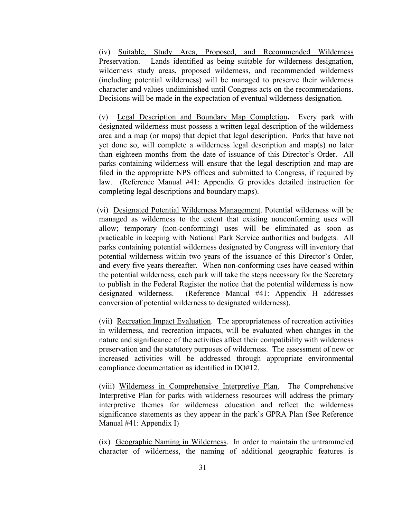(iv) Suitable, Study Area, Proposed, and Recommended Wilderness Preservation. Lands identified as being suitable for wilderness designation, wilderness study areas, proposed wilderness, and recommended wilderness (including potential wilderness) will be managed to preserve their wilderness character and values undiminished until Congress acts on the recommendations. Decisions will be made in the expectation of eventual wilderness designation.

(v) Legal Description and Boundary Map Completion**.** Every park with designated wilderness must possess a written legal description of the wilderness area and a map (or maps) that depict that legal description. Parks that have not yet done so, will complete a wilderness legal description and map(s) no later than eighteen months from the date of issuance of this Director's Order. All parks containing wilderness will ensure that the legal description and map are filed in the appropriate NPS offices and submitted to Congress, if required by law. (Reference Manual #41: Appendix G provides detailed instruction for completing legal descriptions and boundary maps).

 (vi)Designated Potential Wilderness Management. Potential wilderness will be managed as wilderness to the extent that existing nonconforming uses will allow; temporary (non-conforming) uses will be eliminated as soon as practicable in keeping with National Park Service authorities and budgets. All parks containing potential wilderness designated by Congress will inventory that potential wilderness within two years of the issuance of this Director's Order, and every five years thereafter. When non-conforming uses have ceased within the potential wilderness, each park will take the steps necessary for the Secretary to publish in the Federal Register the notice that the potential wilderness is now designated wilderness. (Reference Manual #41: Appendix H addresses conversion of potential wilderness to designated wilderness).

(vii) Recreation Impact Evaluation. The appropriateness of recreation activities in wilderness, and recreation impacts, will be evaluated when changes in the nature and significance of the activities affect their compatibility with wilderness preservation and the statutory purposes of wilderness. The assessment of new or increased activities will be addressed through appropriate environmental compliance documentation as identified in DO#12.

(viii) Wilderness in Comprehensive Interpretive Plan. The Comprehensive Interpretive Plan for parks with wilderness resources will address the primary interpretive themes for wilderness education and reflect the wilderness significance statements as they appear in the park's GPRA Plan (See Reference Manual #41: Appendix I)

(ix) Geographic Naming in Wilderness. In order to maintain the untrammeled character of wilderness, the naming of additional geographic features is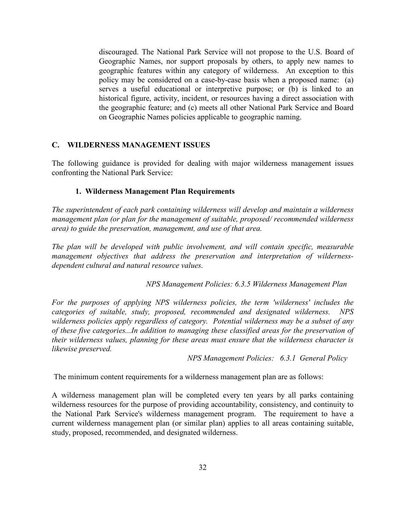discouraged. The National Park Service will not propose to the U.S. Board of Geographic Names, nor support proposals by others, to apply new names to geographic features within any category of wilderness. An exception to this policy may be considered on a case-by-case basis when a proposed name: (a) serves a useful educational or interpretive purpose; or (b) is linked to an historical figure, activity, incident, or resources having a direct association with the geographic feature; and (c) meets all other National Park Service and Board on Geographic Names policies applicable to geographic naming.

#### **C. WILDERNESS MANAGEMENT ISSUES**

The following guidance is provided for dealing with major wilderness management issues confronting the National Park Service:

#### **1. Wilderness Management Plan Requirements**

*The superintendent of each park containing wilderness will develop and maintain a wilderness management plan (or plan for the management of suitable, proposed/ recommended wilderness area) to guide the preservation, management, and use of that area.* 

*The plan will be developed with public involvement, and will contain specific, measurable management objectives that address the preservation and interpretation of wildernessdependent cultural and natural resource values.* 

#### *NPS Management Policies: 6.3.5 Wilderness Management Plan*

*For the purposes of applying NPS wilderness policies, the term 'wilderness' includes the categories of suitable, study, proposed, recommended and designated wilderness. NPS wilderness policies apply regardless of category. Potential wilderness may be a subset of any of these five categories...In addition to managing these classified areas for the preservation of their wilderness values, planning for these areas must ensure that the wilderness character is likewise preserved.*

 *NPS Management Policies: 6.3.1 General Policy*

The minimum content requirements for a wilderness management plan are as follows:

A wilderness management plan will be completed every ten years by all parks containing wilderness resources for the purpose of providing accountability, consistency, and continuity to the National Park Service's wilderness management program. The requirement to have a current wilderness management plan (or similar plan) applies to all areas containing suitable, study, proposed, recommended, and designated wilderness.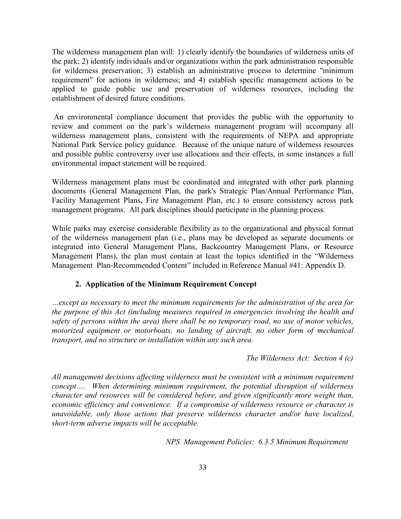The wilderness management plan will: 1) clearly identify the boundaries of wilderness units of the park; 2) identify individuals and/or organizations within the park administration responsible for wilderness preservation; 3) establish an administrative process to determine "minimum requirement" for actions in wilderness; and 4) establish specific management actions to be applied to guide public use and preservation of wilderness resources, including the establishment of desired future conditions.

An environmental compliance document that provides the public with the opportunity to review and comment on the park's wilderness management program will accompany all wilderness management plans, consistent with the requirements of NEPA and appropriate National Park Service policy guidance. Because of the unique nature of wilderness resources and possible public controversy over use allocations and their effects, in some instances a full environmental impact statement will be required.

Wilderness management plans must be coordinated and integrated with other park planning documents (General Management Plan, the park's Strategic Plan/Annual Performance Plan, Facility Management Plans, Fire Management Plan, etc.) to ensure consistency across park management programs. All park disciplines should participate in the planning process.

While parks may exercise considerable flexibility as to the organizational and physical format of the wilderness management plan (i.e., plans may be developed as separate documents or integrated into General Management Plans, Backcountry Management Plans, or Resource Management Plans), the plan must contain at least the topics identified in the "Wilderness Management Plan-Recommended Content" included in Reference Manual #41: Appendix D.

#### **2. Application of the Minimum Requirement Concept**

*…except as necessary to meet the minimum requirements for the administration of the area for the purpose of this Act (including measures required in emergencies involving the health and safety of persons within the area) there shall be no temporary road, no use of motor vehicles, motorized equipment or motorboats, no landing of aircraft, no other form of mechanical transport, and no structure or installation within any such area.*

 *The Wilderness Act: Section 4 (c)* 

*All management decisions affecting wilderness must be consistent with a minimum requirement concept…. When determining minimum requirement, the potential disruption of wilderness character and resources will be considered before, and given significantly more weight than, economic efficiency and convenience. If a compromise of wilderness resource or character is unavoidable, only those actions that preserve wilderness character and/or have localized, short-term adverse impacts will be acceptable.*

 *NPS Management Policies: 6.3.5 Minimum Requirement*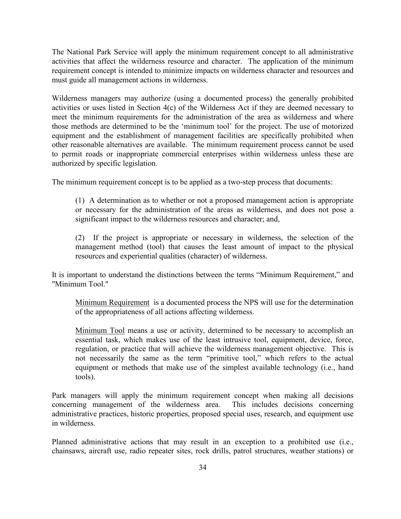The National Park Service will apply the minimum requirement concept to all administrative activities that affect the wilderness resource and character. The application of the minimum requirement concept is intended to minimize impacts on wilderness character and resources and must guide all management actions in wilderness.

Wilderness managers may authorize (using a documented process) the generally prohibited activities or uses listed in Section 4(c) of the Wilderness Act if they are deemed necessary to meet the minimum requirements for the administration of the area as wilderness and where those methods are determined to be the 'minimum tool' for the project. The use of motorized equipment and the establishment of management facilities are specifically prohibited when other reasonable alternatives are available. The minimum requirement process cannot be used to permit roads or inappropriate commercial enterprises within wilderness unless these are authorized by specific legislation.

The minimum requirement concept is to be applied as a two-step process that documents:

(1) A determination as to whether or not a proposed management action is appropriate or necessary for the administration of the areas as wilderness, and does not pose a significant impact to the wilderness resources and character; and,

(2) If the project is appropriate or necessary in wilderness, the selection of the management method (tool) that causes the least amount of impact to the physical resources and experiential qualities (character) of wilderness.

It is important to understand the distinctions between the terms "Minimum Requirement," and "Minimum Tool."

Minimum Requirement is a documented process the NPS will use for the determination of the appropriateness of all actions affecting wilderness.

Minimum Tool means a use or activity, determined to be necessary to accomplish an essential task, which makes use of the least intrusive tool, equipment, device, force, regulation, or practice that will achieve the wilderness management objective. This is not necessarily the same as the term "primitive tool," which refers to the actual equipment or methods that make use of the simplest available technology (i.e., hand tools).

Park managers will apply the minimum requirement concept when making all decisions concerning management of the wilderness area. This includes decisions concerning administrative practices, historic properties, proposed special uses, research, and equipment use in wilderness.

Planned administrative actions that may result in an exception to a prohibited use (i.e., chainsaws, aircraft use, radio repeater sites, rock drills, patrol structures, weather stations) or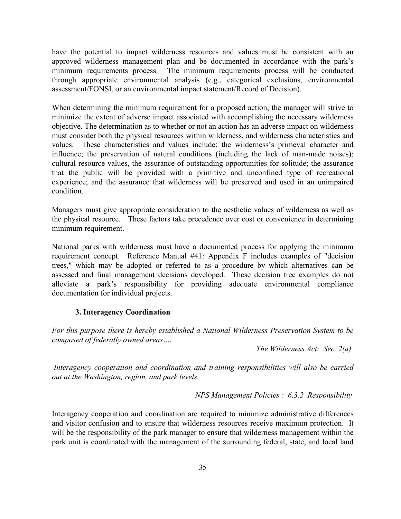have the potential to impact wilderness resources and values must be consistent with an approved wilderness management plan and be documented in accordance with the park's minimum requirements process. The minimum requirements process will be conducted through appropriate environmental analysis (e.g., categorical exclusions, environmental assessment/FONSI, or an environmental impact statement/Record of Decision).

When determining the minimum requirement for a proposed action, the manager will strive to minimize the extent of adverse impact associated with accomplishing the necessary wilderness objective. The determination as to whether or not an action has an adverse impact on wilderness must consider both the physical resources within wilderness, and wilderness characteristics and values. These characteristics and values include: the wilderness's primeval character and influence; the preservation of natural conditions (including the lack of man-made noises); cultural resource values, the assurance of outstanding opportunities for solitude; the assurance that the public will be provided with a primitive and unconfined type of recreational experience; and the assurance that wilderness will be preserved and used in an unimpaired condition.

Managers must give appropriate consideration to the aesthetic values of wilderness as well as the physical resource. These factors take precedence over cost or convenience in determining minimum requirement.

National parks with wilderness must have a documented process for applying the minimum requirement concept. Reference Manual #41: Appendix F includes examples of "decision trees," which may be adopted or referred to as a procedure by which alternatives can be assessed and final management decisions developed. These decision tree examples do not alleviate a park's responsibility for providing adequate environmental compliance documentation for individual projects.

#### **3. Interagency Coordination**

*For this purpose there is hereby established a National Wilderness Preservation System to be composed of federally owned areas….* 

*The Wilderness Act: Sec. 2(a)*

*Interagency cooperation and coordination and training responsibilities will also be carried out at the Washington, region, and park levels.*

 *NPS Management Policies : 6.3.2 Responsibility*

Interagency cooperation and coordination are required to minimize administrative differences and visitor confusion and to ensure that wilderness resources receive maximum protection. It will be the responsibility of the park manager to ensure that wilderness management within the park unit is coordinated with the management of the surrounding federal, state, and local land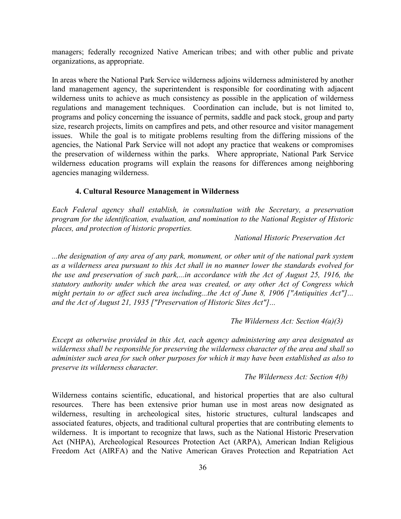managers; federally recognized Native American tribes; and with other public and private organizations, as appropriate.

In areas where the National Park Service wilderness adjoins wilderness administered by another land management agency, the superintendent is responsible for coordinating with adjacent wilderness units to achieve as much consistency as possible in the application of wilderness regulations and management techniques. Coordination can include, but is not limited to, programs and policy concerning the issuance of permits, saddle and pack stock, group and party size, research projects, limits on campfires and pets, and other resource and visitor management issues. While the goal is to mitigate problems resulting from the differing missions of the agencies, the National Park Service will not adopt any practice that weakens or compromises the preservation of wilderness within the parks. Where appropriate, National Park Service wilderness education programs will explain the reasons for differences among neighboring agencies managing wilderness.

#### **4. Cultural Resource Management in Wilderness**

*Each Federal agency shall establish, in consultation with the Secretary, a preservation program for the identification, evaluation, and nomination to the National Register of Historic places, and protection of historic properties.*

 *National Historic Preservation Act* 

*...the designation of any area of any park, monument, or other unit of the national park system as a wilderness area pursuant to this Act shall in no manner lower the standards evolved for the use and preservation of such park,...in accordance with the Act of August 25, 1916, the statutory authority under which the area was created, or any other Act of Congress which might pertain to or affect such area including...the Act of June 8, 1906 ["Antiquities Act"]... and the Act of August 21, 1935 ["Preservation of Historic Sites Act"]...*

 *The Wilderness Act: Section 4(a)(3)*

*Except as otherwise provided in this Act, each agency administering any area designated as wilderness shall be responsible for preserving the wilderness character of the area and shall so administer such area for such other purposes for which it may have been established as also to preserve its wilderness character.*

 *The Wilderness Act: Section 4(b)*

Wilderness contains scientific, educational, and historical properties that are also cultural resources. There has been extensive prior human use in most areas now designated as wilderness, resulting in archeological sites, historic structures, cultural landscapes and associated features, objects, and traditional cultural properties that are contributing elements to wilderness. It is important to recognize that laws, such as the National Historic Preservation Act (NHPA), Archeological Resources Protection Act (ARPA), American Indian Religious Freedom Act (AIRFA) and the Native American Graves Protection and Repatriation Act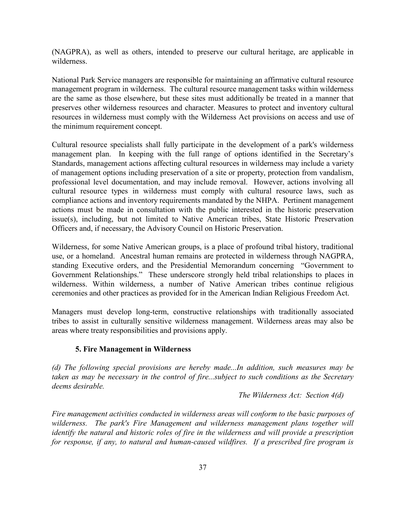(NAGPRA), as well as others, intended to preserve our cultural heritage, are applicable in wilderness.

National Park Service managers are responsible for maintaining an affirmative cultural resource management program in wilderness. The cultural resource management tasks within wilderness are the same as those elsewhere, but these sites must additionally be treated in a manner that preserves other wilderness resources and character. Measures to protect and inventory cultural resources in wilderness must comply with the Wilderness Act provisions on access and use of the minimum requirement concept.

Cultural resource specialists shall fully participate in the development of a park's wilderness management plan. In keeping with the full range of options identified in the Secretary's Standards, management actions affecting cultural resources in wilderness may include a variety of management options including preservation of a site or property, protection from vandalism, professional level documentation, and may include removal. However, actions involving all cultural resource types in wilderness must comply with cultural resource laws, such as compliance actions and inventory requirements mandated by the NHPA. Pertinent management actions must be made in consultation with the public interested in the historic preservation issue(s), including, but not limited to Native American tribes, State Historic Preservation Officers and, if necessary, the Advisory Council on Historic Preservation.

Wilderness, for some Native American groups, is a place of profound tribal history, traditional use, or a homeland. Ancestral human remains are protected in wilderness through NAGPRA, standing Executive orders, and the Presidential Memorandum concerning "Government to Government Relationships." These underscore strongly held tribal relationships to places in wilderness. Within wilderness, a number of Native American tribes continue religious ceremonies and other practices as provided for in the American Indian Religious Freedom Act.

Managers must develop long-term, constructive relationships with traditionally associated tribes to assist in culturally sensitive wilderness management. Wilderness areas may also be areas where treaty responsibilities and provisions apply.

#### **5. Fire Management in Wilderness**

*(d) The following special provisions are hereby made...In addition, such measures may be taken as may be necessary in the control of fire...subject to such conditions as the Secretary deems desirable.*

 *The Wilderness Act: Section 4(d)*

*Fire management activities conducted in wilderness areas will conform to the basic purposes of wilderness. The park's Fire Management and wilderness management plans together will identify the natural and historic roles of fire in the wilderness and will provide a prescription for response, if any, to natural and human-caused wildfires. If a prescribed fire program is*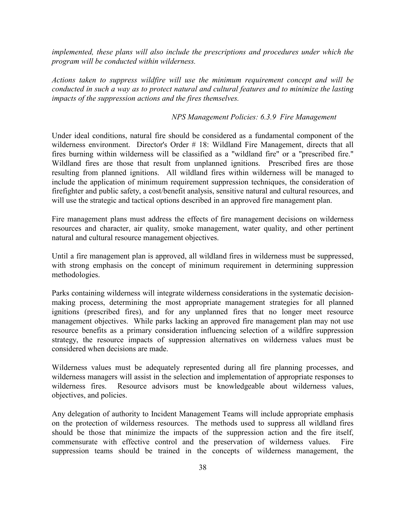*implemented, these plans will also include the prescriptions and procedures under which the program will be conducted within wilderness.*

*Actions taken to suppress wildfire will use the minimum requirement concept and will be conducted in such a way as to protect natural and cultural features and to minimize the lasting impacts of the suppression actions and the fires themselves.*

#### *NPS Management Policies: 6.3.9 Fire Management*

Under ideal conditions, natural fire should be considered as a fundamental component of the wilderness environment. Director's Order # 18: Wildland Fire Management, directs that all fires burning within wilderness will be classified as a "wildland fire" or a "prescribed fire." Wildland fires are those that result from unplanned ignitions. Prescribed fires are those resulting from planned ignitions. All wildland fires within wilderness will be managed to include the application of minimum requirement suppression techniques, the consideration of firefighter and public safety, a cost/benefit analysis, sensitive natural and cultural resources, and will use the strategic and tactical options described in an approved fire management plan.

Fire management plans must address the effects of fire management decisions on wilderness resources and character, air quality, smoke management, water quality, and other pertinent natural and cultural resource management objectives.

Until a fire management plan is approved, all wildland fires in wilderness must be suppressed, with strong emphasis on the concept of minimum requirement in determining suppression methodologies.

Parks containing wilderness will integrate wilderness considerations in the systematic decisionmaking process, determining the most appropriate management strategies for all planned ignitions (prescribed fires), and for any unplanned fires that no longer meet resource management objectives. While parks lacking an approved fire management plan may not use resource benefits as a primary consideration influencing selection of a wildfire suppression strategy, the resource impacts of suppression alternatives on wilderness values must be considered when decisions are made.

Wilderness values must be adequately represented during all fire planning processes, and wilderness managers will assist in the selection and implementation of appropriate responses to wilderness fires. Resource advisors must be knowledgeable about wilderness values, objectives, and policies.

Any delegation of authority to Incident Management Teams will include appropriate emphasis on the protection of wilderness resources. The methods used to suppress all wildland fires should be those that minimize the impacts of the suppression action and the fire itself, commensurate with effective control and the preservation of wilderness values. Fire suppression teams should be trained in the concepts of wilderness management, the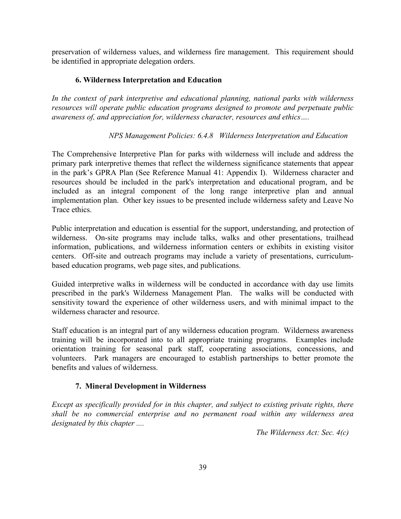preservation of wilderness values, and wilderness fire management. This requirement should be identified in appropriate delegation orders.

### **6. Wilderness Interpretation and Education**

*In the context of park interpretive and educational planning, national parks with wilderness resources will operate public education programs designed to promote and perpetuate public awareness of, and appreciation for, wilderness character, resources and ethics….*

### *NPS Management Policies: 6.4.8 Wilderness Interpretation and Education*

The Comprehensive Interpretive Plan for parks with wilderness will include and address the primary park interpretive themes that reflect the wilderness significance statements that appear in the park's GPRA Plan (See Reference Manual 41: Appendix I). Wilderness character and resources should be included in the park's interpretation and educational program, and be included as an integral component of the long range interpretive plan and annual implementation plan. Other key issues to be presented include wilderness safety and Leave No Trace ethics.

Public interpretation and education is essential for the support, understanding, and protection of wilderness. On-site programs may include talks, walks and other presentations, trailhead information, publications, and wilderness information centers or exhibits in existing visitor centers. Off-site and outreach programs may include a variety of presentations, curriculumbased education programs, web page sites, and publications.

Guided interpretive walks in wilderness will be conducted in accordance with day use limits prescribed in the park's Wilderness Management Plan. The walks will be conducted with sensitivity toward the experience of other wilderness users, and with minimal impact to the wilderness character and resource.

Staff education is an integral part of any wilderness education program. Wilderness awareness training will be incorporated into to all appropriate training programs. Examples include orientation training for seasonal park staff, cooperating associations, concessions, and volunteers. Park managers are encouraged to establish partnerships to better promote the benefits and values of wilderness.

## **7. Mineral Development in Wilderness**

*Except as specifically provided for in this chapter, and subject to existing private rights, there shall be no commercial enterprise and no permanent road within any wilderness area designated by this chapter ....* 

 *The Wilderness Act: Sec. 4(c)*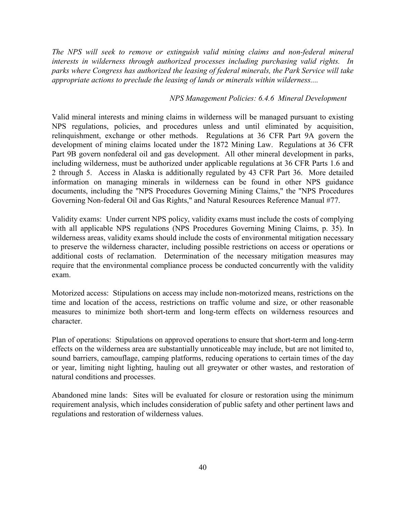*The NPS will seek to remove or extinguish valid mining claims and non-federal mineral interests in wilderness through authorized processes including purchasing valid rights. In parks where Congress has authorized the leasing of federal minerals, the Park Service will take appropriate actions to preclude the leasing of lands or minerals within wilderness....*

#### *NPS Management Policies: 6.4.6 Mineral Development*

Valid mineral interests and mining claims in wilderness will be managed pursuant to existing NPS regulations, policies, and procedures unless and until eliminated by acquisition, relinquishment, exchange or other methods. Regulations at 36 CFR Part 9A govern the development of mining claims located under the 1872 Mining Law. Regulations at 36 CFR Part 9B govern nonfederal oil and gas development. All other mineral development in parks, including wilderness, must be authorized under applicable regulations at 36 CFR Parts 1.6 and 2 through 5. Access in Alaska is additionally regulated by 43 CFR Part 36. More detailed information on managing minerals in wilderness can be found in other NPS guidance documents, including the "NPS Procedures Governing Mining Claims," the "NPS Procedures Governing Non-federal Oil and Gas Rights," and Natural Resources Reference Manual #77.

Validity exams: Under current NPS policy, validity exams must include the costs of complying with all applicable NPS regulations (NPS Procedures Governing Mining Claims, p. 35). In wilderness areas, validity exams should include the costs of environmental mitigation necessary to preserve the wilderness character, including possible restrictions on access or operations or additional costs of reclamation. Determination of the necessary mitigation measures may require that the environmental compliance process be conducted concurrently with the validity exam.

Motorized access: Stipulations on access may include non-motorized means, restrictions on the time and location of the access, restrictions on traffic volume and size, or other reasonable measures to minimize both short-term and long-term effects on wilderness resources and character.

Plan of operations: Stipulations on approved operations to ensure that short-term and long-term effects on the wilderness area are substantially unnoticeable may include, but are not limited to, sound barriers, camouflage, camping platforms, reducing operations to certain times of the day or year, limiting night lighting, hauling out all greywater or other wastes, and restoration of natural conditions and processes.

Abandoned mine lands: Sites will be evaluated for closure or restoration using the minimum requirement analysis, which includes consideration of public safety and other pertinent laws and regulations and restoration of wilderness values.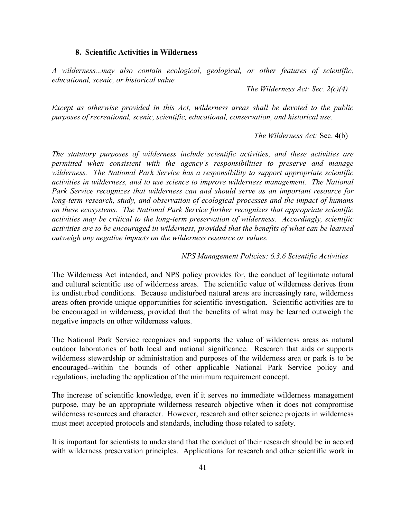#### **8. Scientific Activities in Wilderness**

*A wilderness...may also contain ecological, geological, or other features of scientific, educational, scenic, or historical value.*

 *The Wilderness Act: Sec. 2(c)(4)*

*Except as otherwise provided in this Act, wilderness areas shall be devoted to the public purposes of recreational, scenic, scientific, educational, conservation, and historical use.*

 *The Wilderness Act:* Sec. 4(b)

*The statutory purposes of wilderness include scientific activities, and these activities are permitted when consistent with the agency's responsibilities to preserve and manage wilderness. The National Park Service has a responsibility to support appropriate scientific activities in wilderness, and to use science to improve wilderness management. The National Park Service recognizes that wilderness can and should serve as an important resource for long-term research, study, and observation of ecological processes and the impact of humans on these ecosystems. The National Park Service further recognizes that appropriate scientific activities may be critical to the long-term preservation of wilderness. Accordingly, scientific activities are to be encouraged in wilderness, provided that the benefits of what can be learned outweigh any negative impacts on the wilderness resource or values.*

 *NPS Management Policies: 6.3.6 Scientific Activities*

The Wilderness Act intended, and NPS policy provides for, the conduct of legitimate natural and cultural scientific use of wilderness areas. The scientific value of wilderness derives from its undisturbed conditions. Because undisturbed natural areas are increasingly rare, wilderness areas often provide unique opportunities for scientific investigation. Scientific activities are to be encouraged in wilderness, provided that the benefits of what may be learned outweigh the negative impacts on other wilderness values.

The National Park Service recognizes and supports the value of wilderness areas as natural outdoor laboratories of both local and national significance. Research that aids or supports wilderness stewardship or administration and purposes of the wilderness area or park is to be encouraged--within the bounds of other applicable National Park Service policy and regulations, including the application of the minimum requirement concept.

The increase of scientific knowledge, even if it serves no immediate wilderness management purpose, may be an appropriate wilderness research objective when it does not compromise wilderness resources and character. However, research and other science projects in wilderness must meet accepted protocols and standards, including those related to safety.

It is important for scientists to understand that the conduct of their research should be in accord with wilderness preservation principles. Applications for research and other scientific work in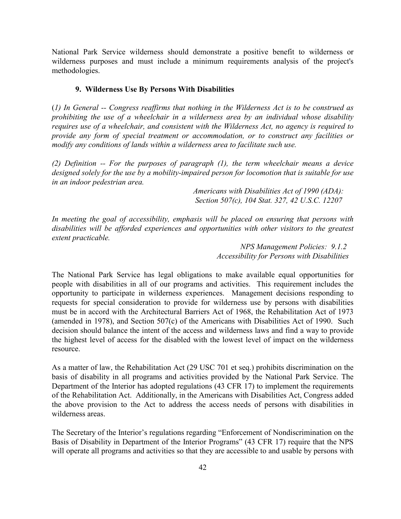National Park Service wilderness should demonstrate a positive benefit to wilderness or wilderness purposes and must include a minimum requirements analysis of the project's methodologies.

#### **9. Wilderness Use By Persons With Disabilities**

(*1) In General -- Congress reaffirms that nothing in the Wilderness Act is to be construed as prohibiting the use of a wheelchair in a wilderness area by an individual whose disability requires use of a wheelchair, and consistent with the Wilderness Act, no agency is required to provide any form of special treatment or accommodation, or to construct any facilities or modify any conditions of lands within a wilderness area to facilitate such use.*

*(2) Definition -- For the purposes of paragraph (1), the term wheelchair means a device designed solely for the use by a mobility-impaired person for locomotion that is suitable for use in an indoor pedestrian area.* 

> *Americans with Disabilities Act of 1990 (ADA): Section 507(c), 104 Stat. 327, 42 U.S.C. 12207*

*In meeting the goal of accessibility, emphasis will be placed on ensuring that persons with disabilities will be afforded experiences and opportunities with other visitors to the greatest extent practicable.*

> *NPS Management Policies: 9.1.2 Accessibility for Persons with Disabilities*

The National Park Service has legal obligations to make available equal opportunities for people with disabilities in all of our programs and activities. This requirement includes the opportunity to participate in wilderness experiences. Management decisions responding to requests for special consideration to provide for wilderness use by persons with disabilities must be in accord with the Architectural Barriers Act of 1968, the Rehabilitation Act of 1973 (amended in 1978), and Section 507(c) of the Americans with Disabilities Act of 1990. Such decision should balance the intent of the access and wilderness laws and find a way to provide the highest level of access for the disabled with the lowest level of impact on the wilderness resource.

As a matter of law, the Rehabilitation Act (29 USC 701 et seq.) prohibits discrimination on the basis of disability in all programs and activities provided by the National Park Service. The Department of the Interior has adopted regulations (43 CFR 17) to implement the requirements of the Rehabilitation Act. Additionally, in the Americans with Disabilities Act, Congress added the above provision to the Act to address the access needs of persons with disabilities in wilderness areas.

The Secretary of the Interior's regulations regarding "Enforcement of Nondiscrimination on the Basis of Disability in Department of the Interior Programs" (43 CFR 17) require that the NPS will operate all programs and activities so that they are accessible to and usable by persons with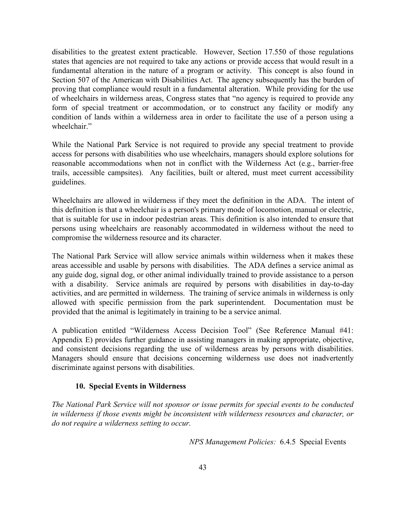disabilities to the greatest extent practicable. However, Section 17.550 of those regulations states that agencies are not required to take any actions or provide access that would result in a fundamental alteration in the nature of a program or activity. This concept is also found in Section 507 of the American with Disabilities Act. The agency subsequently has the burden of proving that compliance would result in a fundamental alteration. While providing for the use of wheelchairs in wilderness areas, Congress states that "no agency is required to provide any form of special treatment or accommodation, or to construct any facility or modify any condition of lands within a wilderness area in order to facilitate the use of a person using a wheelchair."

While the National Park Service is not required to provide any special treatment to provide access for persons with disabilities who use wheelchairs, managers should explore solutions for reasonable accommodations when not in conflict with the Wilderness Act (e.g., barrier-free trails, accessible campsites). Any facilities, built or altered, must meet current accessibility guidelines.

Wheelchairs are allowed in wilderness if they meet the definition in the ADA. The intent of this definition is that a wheelchair is a person's primary mode of locomotion, manual or electric, that is suitable for use in indoor pedestrian areas. This definition is also intended to ensure that persons using wheelchairs are reasonably accommodated in wilderness without the need to compromise the wilderness resource and its character.

The National Park Service will allow service animals within wilderness when it makes these areas accessible and usable by persons with disabilities. The ADA defines a service animal as any guide dog, signal dog, or other animal individually trained to provide assistance to a person with a disability. Service animals are required by persons with disabilities in day-to-day activities, and are permitted in wilderness. The training of service animals in wilderness is only allowed with specific permission from the park superintendent. Documentation must be provided that the animal is legitimately in training to be a service animal.

A publication entitled "Wilderness Access Decision Tool" (See Reference Manual #41: Appendix E) provides further guidance in assisting managers in making appropriate, objective, and consistent decisions regarding the use of wilderness areas by persons with disabilities. Managers should ensure that decisions concerning wilderness use does not inadvertently discriminate against persons with disabilities.

#### **10. Special Events in Wilderness**

*The National Park Service will not sponsor or issue permits for special events to be conducted in wilderness if those events might be inconsistent with wilderness resources and character, or do not require a wilderness setting to occur.*

 *NPS Management Policies:* 6.4.5 Special Events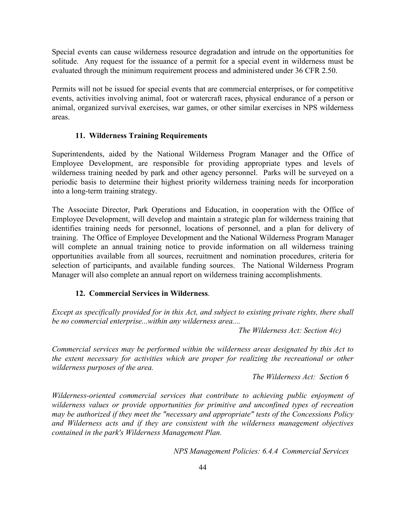Special events can cause wilderness resource degradation and intrude on the opportunities for solitude. Any request for the issuance of a permit for a special event in wilderness must be evaluated through the minimum requirement process and administered under 36 CFR 2.50.

Permits will not be issued for special events that are commercial enterprises, or for competitive events, activities involving animal, foot or watercraft races, physical endurance of a person or animal, organized survival exercises, war games, or other similar exercises in NPS wilderness areas.

#### **11. Wilderness Training Requirements**

Superintendents, aided by the National Wilderness Program Manager and the Office of Employee Development, are responsible for providing appropriate types and levels of wilderness training needed by park and other agency personnel. Parks will be surveyed on a periodic basis to determine their highest priority wilderness training needs for incorporation into a long-term training strategy.

The Associate Director, Park Operations and Education, in cooperation with the Office of Employee Development, will develop and maintain a strategic plan for wilderness training that identifies training needs for personnel, locations of personnel, and a plan for delivery of training. The Office of Employee Development and the National Wilderness Program Manager will complete an annual training notice to provide information on all wilderness training opportunities available from all sources, recruitment and nomination procedures, criteria for selection of participants, and available funding sources. The National Wilderness Program Manager will also complete an annual report on wilderness training accomplishments.

#### **12. Commercial Services in Wilderness**.

*Except as specifically provided for in this Act, and subject to existing private rights, there shall be no commercial enterprise...within any wilderness area....*

 *The Wilderness Act: Section 4(c)*

*Commercial services may be performed within the wilderness areas designated by this Act to the extent necessary for activities which are proper for realizing the recreational or other wilderness purposes of the area.*

 *The Wilderness Act: Section 6*

*Wilderness-oriented commercial services that contribute to achieving public enjoyment of wilderness values or provide opportunities for primitive and unconfined types of recreation may be authorized if they meet the "necessary and appropriate" tests of the Concessions Policy and Wilderness acts and if they are consistent with the wilderness management objectives contained in the park's Wilderness Management Plan.*

 *NPS Management Policies: 6.4.4 Commercial Services*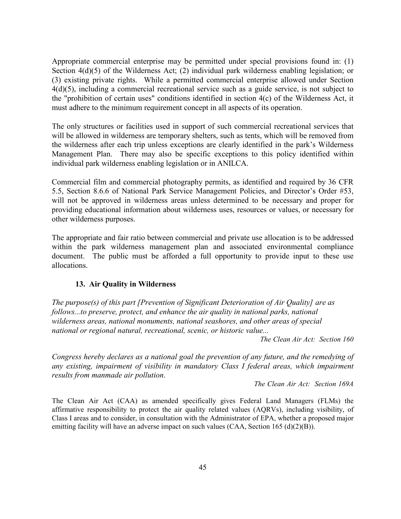Appropriate commercial enterprise may be permitted under special provisions found in: (1) Section 4(d)(5) of the Wilderness Act; (2) individual park wilderness enabling legislation; or (3) existing private rights. While a permitted commercial enterprise allowed under Section 4(d)(5), including a commercial recreational service such as a guide service, is not subject to the "prohibition of certain uses" conditions identified in section 4(c) of the Wilderness Act, it must adhere to the minimum requirement concept in all aspects of its operation.

The only structures or facilities used in support of such commercial recreational services that will be allowed in wilderness are temporary shelters, such as tents, which will be removed from the wilderness after each trip unless exceptions are clearly identified in the park's Wilderness Management Plan. There may also be specific exceptions to this policy identified within individual park wilderness enabling legislation or in ANILCA.

Commercial film and commercial photography permits, as identified and required by 36 CFR 5.5, Section 8.6.6 of National Park Service Management Policies, and Director's Order #53, will not be approved in wilderness areas unless determined to be necessary and proper for providing educational information about wilderness uses, resources or values, or necessary for other wilderness purposes.

The appropriate and fair ratio between commercial and private use allocation is to be addressed within the park wilderness management plan and associated environmental compliance document. The public must be afforded a full opportunity to provide input to these use allocations.

#### **13. Air Quality in Wilderness**

*The purpose(s) of this part [Prevention of Significant Deterioration of Air Quality] are as follows...to preserve, protect, and enhance the air quality in national parks, national wilderness areas, national monuments, national seashores, and other areas of special national or regional natural, recreational, scenic, or historic value...* 

*The Clean Air Act: Section 160*

*Congress hereby declares as a national goal the prevention of any future, and the remedying of any existing, impairment of visibility in mandatory Class I federal areas, which impairment results from manmade air pollution*.

*The Clean Air Act: Section 169A*

The Clean Air Act (CAA) as amended specifically gives Federal Land Managers (FLMs) the affirmative responsibility to protect the air quality related values (AQRVs), including visibility, of Class I areas and to consider, in consultation with the Administrator of EPA, whether a proposed major emitting facility will have an adverse impact on such values (CAA, Section 165 (d)(2)(B)).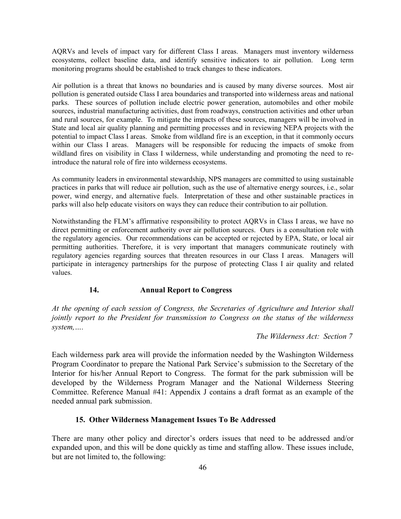AQRVs and levels of impact vary for different Class I areas. Managers must inventory wilderness ecosystems, collect baseline data, and identify sensitive indicators to air pollution. Long term monitoring programs should be established to track changes to these indicators.

Air pollution is a threat that knows no boundaries and is caused by many diverse sources. Most air pollution is generated outside Class I area boundaries and transported into wilderness areas and national parks. These sources of pollution include electric power generation, automobiles and other mobile sources, industrial manufacturing activities, dust from roadways, construction activities and other urban and rural sources, for example. To mitigate the impacts of these sources, managers will be involved in State and local air quality planning and permitting processes and in reviewing NEPA projects with the potential to impact Class I areas. Smoke from wildland fire is an exception, in that it commonly occurs within our Class I areas. Managers will be responsible for reducing the impacts of smoke from wildland fires on visibility in Class I wilderness, while understanding and promoting the need to reintroduce the natural role of fire into wilderness ecosystems.

As community leaders in environmental stewardship, NPS managers are committed to using sustainable practices in parks that will reduce air pollution, such as the use of alternative energy sources, i.e., solar power, wind energy, and alternative fuels. Interpretation of these and other sustainable practices in parks will also help educate visitors on ways they can reduce their contribution to air pollution.

Notwithstanding the FLM's affirmative responsibility to protect AQRVs in Class I areas, we have no direct permitting or enforcement authority over air pollution sources. Ours is a consultation role with the regulatory agencies. Our recommendations can be accepted or rejected by EPA, State, or local air permitting authorities. Therefore, it is very important that managers communicate routinely with regulatory agencies regarding sources that threaten resources in our Class I areas. Managers will participate in interagency partnerships for the purpose of protecting Class I air quality and related values.

#### **14. Annual Report to Congress**

*At the opening of each session of Congress, the Secretaries of Agriculture and Interior shall jointly report to the President for transmission to Congress on the status of the wilderness system,….*

 *The Wilderness Act: Section 7*

Each wilderness park area will provide the information needed by the Washington Wilderness Program Coordinator to prepare the National Park Service's submission to the Secretary of the Interior for his/her Annual Report to Congress. The format for the park submission will be developed by the Wilderness Program Manager and the National Wilderness Steering Committee. Reference Manual #41: Appendix J contains a draft format as an example of the needed annual park submission.

#### **15. Other Wilderness Management Issues To Be Addressed**

There are many other policy and director's orders issues that need to be addressed and/or expanded upon, and this will be done quickly as time and staffing allow. These issues include, but are not limited to, the following: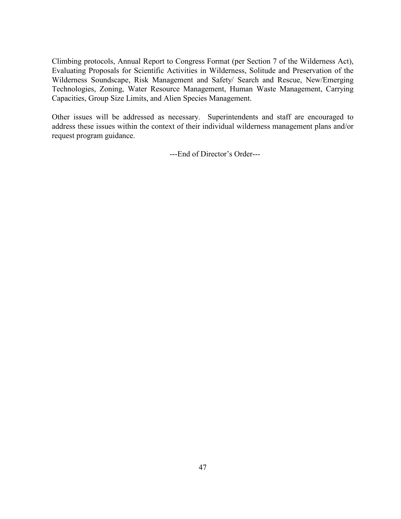Climbing protocols, Annual Report to Congress Format (per Section 7 of the Wilderness Act), Evaluating Proposals for Scientific Activities in Wilderness, Solitude and Preservation of the Wilderness Soundscape, Risk Management and Safety/ Search and Rescue, New/Emerging Technologies, Zoning, Water Resource Management, Human Waste Management, Carrying Capacities, Group Size Limits, and Alien Species Management.

Other issues will be addressed as necessary. Superintendents and staff are encouraged to address these issues within the context of their individual wilderness management plans and/or request program guidance.

---End of Director's Order---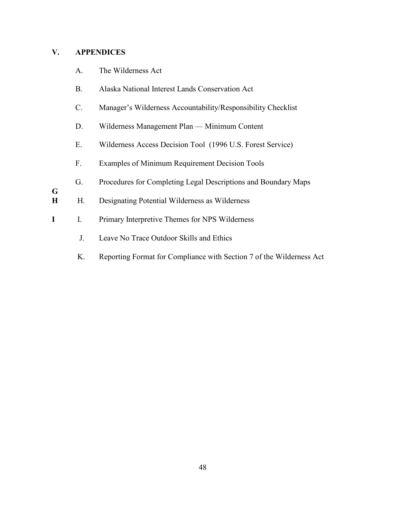### **V. APPENDICES**

**G**

- A. The Wilderness Act
- B. Alaska National Interest Lands Conservation Act
- C. Manager's Wilderness Accountability/Responsibility Checklist
- D. Wilderness Management Plan Minimum Content
- E. Wilderness Access Decision Tool (1996 U.S. Forest Service)
- F. Examples of Minimum Requirement Decision Tools
- G. Procedures for Completing Legal Descriptions and Boundary Maps
- **H** H. Designating Potential Wilderness as Wilderness
- **I** I. Primary Interpretive Themes for NPS Wilderness
	- J. Leave No Trace Outdoor Skills and Ethics
	- K. Reporting Format for Compliance with Section 7 of the Wilderness Act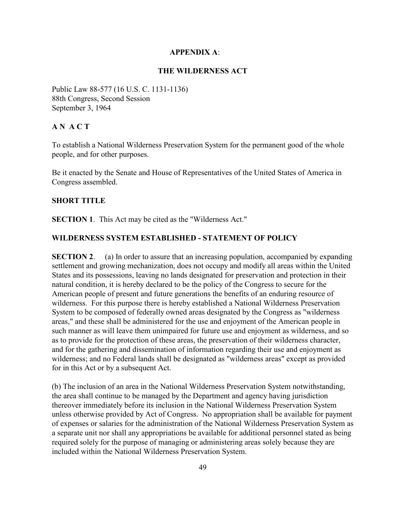#### **APPENDIX A**:

### **THE WILDERNESS ACT**

Public Law 88-577 (16 U.S. C. 1131-1136) 88th Congress, Second Session September 3, 1964

### **A N A C T**

To establish a National Wilderness Preservation System for the permanent good of the whole people, and for other purposes.

Be it enacted by the Senate and House of Representatives of the United States of America in Congress assembled.

#### **SHORT TITLE**

**SECTION 1**. This Act may be cited as the "Wilderness Act."

### **WILDERNESS SYSTEM ESTABLISHED - STATEMENT OF POLICY**

**SECTION 2.** (a) In order to assure that an increasing population, accompanied by expanding settlement and growing mechanization, does not occupy and modify all areas within the United States and its possessions, leaving no lands designated for preservation and protection in their natural condition, it is hereby declared to be the policy of the Congress to secure for the American people of present and future generations the benefits of an enduring resource of wilderness. For this purpose there is hereby established a National Wilderness Preservation System to be composed of federally owned areas designated by the Congress as "wilderness areas," and these shall be administered for the use and enjoyment of the American people in such manner as will leave them unimpaired for future use and enjoyment as wilderness, and so as to provide for the protection of these areas, the preservation of their wilderness character, and for the gathering and dissemination of information regarding their use and enjoyment as wilderness; and no Federal lands shall be designated as "wilderness areas" except as provided for in this Act or by a subsequent Act.

(b) The inclusion of an area in the National Wilderness Preservation System notwithstanding, the area shall continue to be managed by the Department and agency having jurisdiction thereover immediately before its inclusion in the National Wilderness Preservation System unless otherwise provided by Act of Congress. No appropriation shall be available for payment of expenses or salaries for the administration of the National Wilderness Preservation System as a separate unit nor shall any appropriations be available for additional personnel stated as being required solely for the purpose of managing or administering areas solely because they are included within the National Wilderness Preservation System.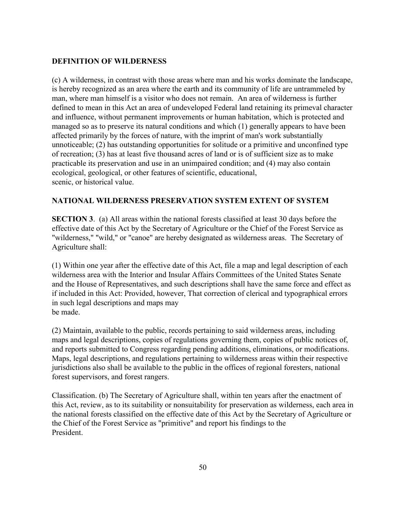### **DEFINITION OF WILDERNESS**

(c) A wilderness, in contrast with those areas where man and his works dominate the landscape, is hereby recognized as an area where the earth and its community of life are untrammeled by man, where man himself is a visitor who does not remain. An area of wilderness is further defined to mean in this Act an area of undeveloped Federal land retaining its primeval character and influence, without permanent improvements or human habitation, which is protected and managed so as to preserve its natural conditions and which (1) generally appears to have been affected primarily by the forces of nature, with the imprint of man's work substantially unnoticeable; (2) has outstanding opportunities for solitude or a primitive and unconfined type of recreation; (3) has at least five thousand acres of land or is of sufficient size as to make practicable its preservation and use in an unimpaired condition; and (4) may also contain ecological, geological, or other features of scientific, educational, scenic, or historical value.

### **NATIONAL WILDERNESS PRESERVATION SYSTEM EXTENT OF SYSTEM**

**SECTION 3.** (a) All areas within the national forests classified at least 30 days before the effective date of this Act by the Secretary of Agriculture or the Chief of the Forest Service as "wilderness," "wild," or "canoe" are hereby designated as wilderness areas. The Secretary of Agriculture shall:

(1) Within one year after the effective date of this Act, file a map and legal description of each wilderness area with the Interior and Insular Affairs Committees of the United States Senate and the House of Representatives, and such descriptions shall have the same force and effect as if included in this Act: Provided, however, That correction of clerical and typographical errors in such legal descriptions and maps may be made.

(2) Maintain, available to the public, records pertaining to said wilderness areas, including maps and legal descriptions, copies of regulations governing them, copies of public notices of, and reports submitted to Congress regarding pending additions, eliminations, or modifications. Maps, legal descriptions, and regulations pertaining to wilderness areas within their respective jurisdictions also shall be available to the public in the offices of regional foresters, national forest supervisors, and forest rangers.

Classification. (b) The Secretary of Agriculture shall, within ten years after the enactment of this Act, review, as to its suitability or nonsuitability for preservation as wilderness, each area in the national forests classified on the effective date of this Act by the Secretary of Agriculture or the Chief of the Forest Service as "primitive" and report his findings to the President.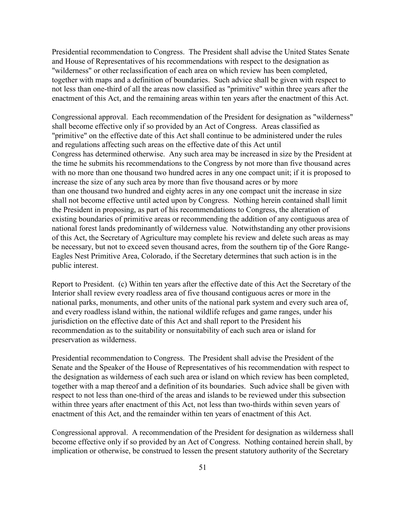Presidential recommendation to Congress. The President shall advise the United States Senate and House of Representatives of his recommendations with respect to the designation as "wilderness" or other reclassification of each area on which review has been completed, together with maps and a definition of boundaries. Such advice shall be given with respect to not less than one-third of all the areas now classified as "primitive" within three years after the enactment of this Act, and the remaining areas within ten years after the enactment of this Act.

Congressional approval. Each recommendation of the President for designation as "wilderness" shall become effective only if so provided by an Act of Congress. Areas classified as "primitive" on the effective date of this Act shall continue to be administered under the rules and regulations affecting such areas on the effective date of this Act until Congress has determined otherwise. Any such area may be increased in size by the President at the time he submits his recommendations to the Congress by not more than five thousand acres with no more than one thousand two hundred acres in any one compact unit; if it is proposed to increase the size of any such area by more than five thousand acres or by more than one thousand two hundred and eighty acres in any one compact unit the increase in size shall not become effective until acted upon by Congress. Nothing herein contained shall limit the President in proposing, as part of his recommendations to Congress, the alteration of existing boundaries of primitive areas or recommending the addition of any contiguous area of national forest lands predominantly of wilderness value. Notwithstanding any other provisions of this Act, the Secretary of Agriculture may complete his review and delete such areas as may be necessary, but not to exceed seven thousand acres, from the southern tip of the Gore Range-Eagles Nest Primitive Area, Colorado, if the Secretary determines that such action is in the public interest.

Report to President. (c) Within ten years after the effective date of this Act the Secretary of the Interior shall review every roadless area of five thousand contiguous acres or more in the national parks, monuments, and other units of the national park system and every such area of, and every roadless island within, the national wildlife refuges and game ranges, under his jurisdiction on the effective date of this Act and shall report to the President his recommendation as to the suitability or nonsuitability of each such area or island for preservation as wilderness.

Presidential recommendation to Congress. The President shall advise the President of the Senate and the Speaker of the House of Representatives of his recommendation with respect to the designation as wilderness of each such area or island on which review has been completed, together with a map thereof and a definition of its boundaries. Such advice shall be given with respect to not less than one-third of the areas and islands to be reviewed under this subsection within three years after enactment of this Act, not less than two-thirds within seven years of enactment of this Act, and the remainder within ten years of enactment of this Act.

Congressional approval. A recommendation of the President for designation as wilderness shall become effective only if so provided by an Act of Congress. Nothing contained herein shall, by implication or otherwise, be construed to lessen the present statutory authority of the Secretary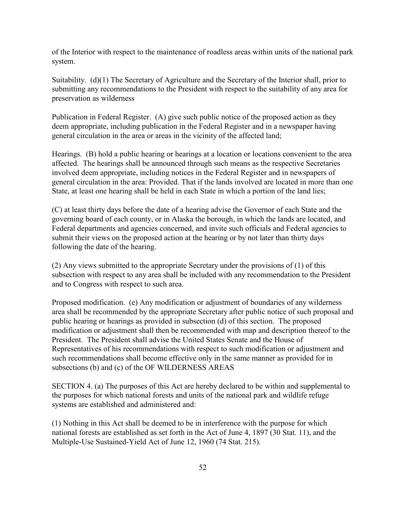of the Interior with respect to the maintenance of roadless areas within units of the national park system.

Suitability. (d)(1) The Secretary of Agriculture and the Secretary of the Interior shall, prior to submitting any recommendations to the President with respect to the suitability of any area for preservation as wilderness

Publication in Federal Register. (A) give such public notice of the proposed action as they deem appropriate, including publication in the Federal Register and in a newspaper having general circulation in the area or areas in the vicinity of the affected land;

Hearings. (B) hold a public hearing or hearings at a location or locations convenient to the area affected. The hearings shall be announced through such means as the respective Secretaries involved deem appropriate, including notices in the Federal Register and in newspapers of general circulation in the area: Provided. That if the lands involved are located in more than one State, at least one hearing shall be held in each State in which a portion of the land lies;

(C) at least thirty days before the date of a hearing advise the Governor of each State and the governing board of each county, or in Alaska the borough, in which the lands are located, and Federal departments and agencies concerned, and invite such officials and Federal agencies to submit their views on the proposed action at the hearing or by not later than thirty days following the date of the hearing.

(2) Any views submitted to the appropriate Secretary under the provisions of (1) of this subsection with respect to any area shall be included with any recommendation to the President and to Congress with respect to such area.

Proposed modification. (e) Any modification or adjustment of boundaries of any wilderness area shall be recommended by the appropriate Secretary after public notice of such proposal and public hearing or hearings as provided in subsection (d) of this section. The proposed modification or adjustment shall then be recommended with map and description thereof to the President. The President shall advise the United States Senate and the House of Representatives of his recommendations with respect to such modification or adjustment and such recommendations shall become effective only in the same manner as provided for in subsections (b) and (c) of the OF WILDERNESS AREAS

SECTION 4. (a) The purposes of this Act are hereby declared to be within and supplemental to the purposes for which national forests and units of the national park and wildlife refuge systems are established and administered and:

(1) Nothing in this Act shall be deemed to be in interference with the purpose for which national forests are established as set forth in the Act of June 4, 1897 (30 Stat. 11), and the Multiple-Use Sustained-Yield Act of June 12, 1960 (74 Stat. 215).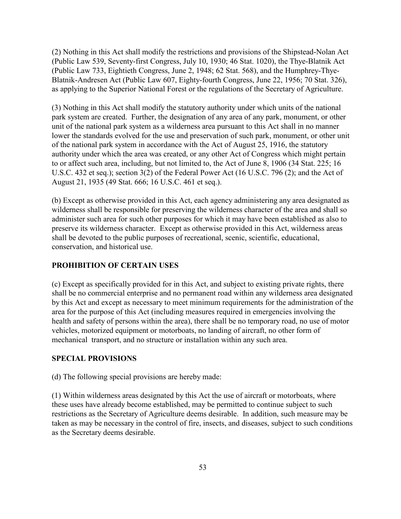(2) Nothing in this Act shall modify the restrictions and provisions of the Shipstead-Nolan Act (Public Law 539, Seventy-first Congress, July 10, 1930; 46 Stat. 1020), the Thye-Blatnik Act (Public Law 733, Eightieth Congress, June 2, 1948; 62 Stat. 568), and the Humphrey-Thye-Blatnik-Andresen Act (Public Law 607, Eighty-fourth Congress, June 22, 1956; 70 Stat. 326), as applying to the Superior National Forest or the regulations of the Secretary of Agriculture.

(3) Nothing in this Act shall modify the statutory authority under which units of the national park system are created. Further, the designation of any area of any park, monument, or other unit of the national park system as a wilderness area pursuant to this Act shall in no manner lower the standards evolved for the use and preservation of such park, monument, or other unit of the national park system in accordance with the Act of August 25, 1916, the statutory authority under which the area was created, or any other Act of Congress which might pertain to or affect such area, including, but not limited to, the Act of June 8, 1906 (34 Stat. 225; 16 U.S.C. 432 et seq.); section 3(2) of the Federal Power Act (16 U.S.C. 796 (2); and the Act of August 21, 1935 (49 Stat. 666; 16 U.S.C. 461 et seq.).

(b) Except as otherwise provided in this Act, each agency administering any area designated as wilderness shall be responsible for preserving the wilderness character of the area and shall so administer such area for such other purposes for which it may have been established as also to preserve its wilderness character. Except as otherwise provided in this Act, wilderness areas shall be devoted to the public purposes of recreational, scenic, scientific, educational, conservation, and historical use.

#### **PROHIBITION OF CERTAIN USES**

(c) Except as specifically provided for in this Act, and subject to existing private rights, there shall be no commercial enterprise and no permanent road within any wilderness area designated by this Act and except as necessary to meet minimum requirements for the administration of the area for the purpose of this Act (including measures required in emergencies involving the health and safety of persons within the area), there shall be no temporary road, no use of motor vehicles, motorized equipment or motorboats, no landing of aircraft, no other form of mechanical transport, and no structure or installation within any such area.

#### **SPECIAL PROVISIONS**

(d) The following special provisions are hereby made:

(1) Within wilderness areas designated by this Act the use of aircraft or motorboats, where these uses have already become established, may be permitted to continue subject to such restrictions as the Secretary of Agriculture deems desirable. In addition, such measure may be taken as may be necessary in the control of fire, insects, and diseases, subject to such conditions as the Secretary deems desirable.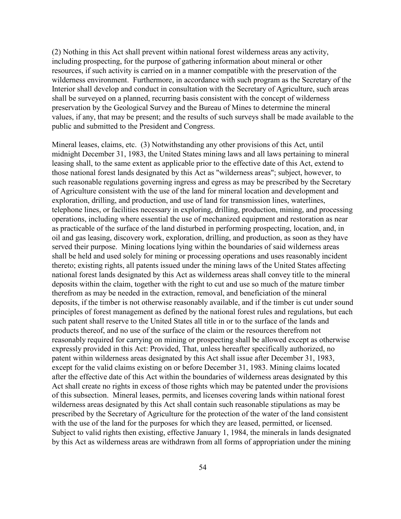(2) Nothing in this Act shall prevent within national forest wilderness areas any activity, including prospecting, for the purpose of gathering information about mineral or other resources, if such activity is carried on in a manner compatible with the preservation of the wilderness environment. Furthermore, in accordance with such program as the Secretary of the Interior shall develop and conduct in consultation with the Secretary of Agriculture, such areas shall be surveyed on a planned, recurring basis consistent with the concept of wilderness preservation by the Geological Survey and the Bureau of Mines to determine the mineral values, if any, that may be present; and the results of such surveys shall be made available to the public and submitted to the President and Congress.

Mineral leases, claims, etc. (3) Notwithstanding any other provisions of this Act, until midnight December 31, 1983, the United States mining laws and all laws pertaining to mineral leasing shall, to the same extent as applicable prior to the effective date of this Act, extend to those national forest lands designated by this Act as "wilderness areas"; subject, however, to such reasonable regulations governing ingress and egress as may be prescribed by the Secretary of Agriculture consistent with the use of the land for mineral location and development and exploration, drilling, and production, and use of land for transmission lines, waterlines, telephone lines, or facilities necessary in exploring, drilling, production, mining, and processing operations, including where essential the use of mechanized equipment and restoration as near as practicable of the surface of the land disturbed in performing prospecting, location, and, in oil and gas leasing, discovery work, exploration, drilling, and production, as soon as they have served their purpose. Mining locations lying within the boundaries of said wilderness areas shall be held and used solely for mining or processing operations and uses reasonably incident thereto; existing rights, all patents issued under the mining laws of the United States affecting national forest lands designated by this Act as wilderness areas shall convey title to the mineral deposits within the claim, together with the right to cut and use so much of the mature timber therefrom as may be needed in the extraction, removal, and beneficiation of the mineral deposits, if the timber is not otherwise reasonably available, and if the timber is cut under sound principles of forest management as defined by the national forest rules and regulations, but each such patent shall reserve to the United States all title in or to the surface of the lands and products thereof, and no use of the surface of the claim or the resources therefrom not reasonably required for carrying on mining or prospecting shall be allowed except as otherwise expressly provided in this Act: Provided, That, unless hereafter specifically authorized, no patent within wilderness areas designated by this Act shall issue after December 31, 1983, except for the valid claims existing on or before December 31, 1983. Mining claims located after the effective date of this Act within the boundaries of wilderness areas designated by this Act shall create no rights in excess of those rights which may be patented under the provisions of this subsection. Mineral leases, permits, and licenses covering lands within national forest wilderness areas designated by this Act shall contain such reasonable stipulations as may be prescribed by the Secretary of Agriculture for the protection of the water of the land consistent with the use of the land for the purposes for which they are leased, permitted, or licensed. Subject to valid rights then existing, effective January 1, 1984, the minerals in lands designated by this Act as wilderness areas are withdrawn from all forms of appropriation under the mining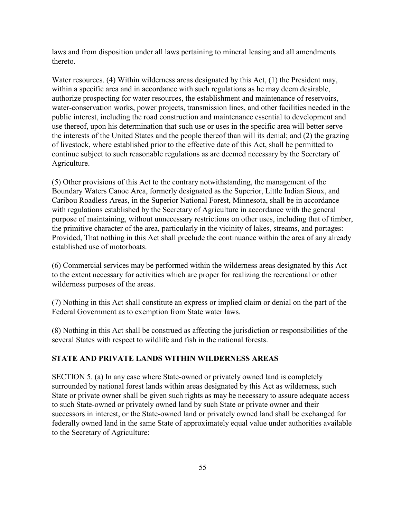laws and from disposition under all laws pertaining to mineral leasing and all amendments thereto.

Water resources. (4) Within wilderness areas designated by this Act, (1) the President may, within a specific area and in accordance with such regulations as he may deem desirable, authorize prospecting for water resources, the establishment and maintenance of reservoirs, water-conservation works, power projects, transmission lines, and other facilities needed in the public interest, including the road construction and maintenance essential to development and use thereof, upon his determination that such use or uses in the specific area will better serve the interests of the United States and the people thereof than will its denial; and (2) the grazing of livestock, where established prior to the effective date of this Act, shall be permitted to continue subject to such reasonable regulations as are deemed necessary by the Secretary of Agriculture.

(5) Other provisions of this Act to the contrary notwithstanding, the management of the Boundary Waters Canoe Area, formerly designated as the Superior, Little Indian Sioux, and Caribou Roadless Areas, in the Superior National Forest, Minnesota, shall be in accordance with regulations established by the Secretary of Agriculture in accordance with the general purpose of maintaining, without unnecessary restrictions on other uses, including that of timber, the primitive character of the area, particularly in the vicinity of lakes, streams, and portages: Provided, That nothing in this Act shall preclude the continuance within the area of any already established use of motorboats.

(6) Commercial services may be performed within the wilderness areas designated by this Act to the extent necessary for activities which are proper for realizing the recreational or other wilderness purposes of the areas.

(7) Nothing in this Act shall constitute an express or implied claim or denial on the part of the Federal Government as to exemption from State water laws.

(8) Nothing in this Act shall be construed as affecting the jurisdiction or responsibilities of the several States with respect to wildlife and fish in the national forests.

#### **STATE AND PRIVATE LANDS WITHIN WILDERNESS AREAS**

SECTION 5. (a) In any case where State-owned or privately owned land is completely surrounded by national forest lands within areas designated by this Act as wilderness, such State or private owner shall be given such rights as may be necessary to assure adequate access to such State-owned or privately owned land by such State or private owner and their successors in interest, or the State-owned land or privately owned land shall be exchanged for federally owned land in the same State of approximately equal value under authorities available to the Secretary of Agriculture: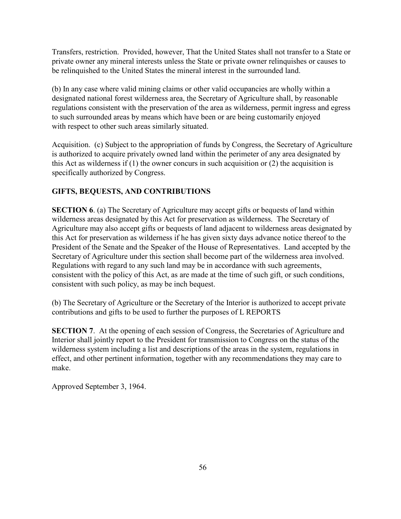Transfers, restriction. Provided, however, That the United States shall not transfer to a State or private owner any mineral interests unless the State or private owner relinquishes or causes to be relinquished to the United States the mineral interest in the surrounded land.

(b) In any case where valid mining claims or other valid occupancies are wholly within a designated national forest wilderness area, the Secretary of Agriculture shall, by reasonable regulations consistent with the preservation of the area as wilderness, permit ingress and egress to such surrounded areas by means which have been or are being customarily enjoyed with respect to other such areas similarly situated.

Acquisition. (c) Subject to the appropriation of funds by Congress, the Secretary of Agriculture is authorized to acquire privately owned land within the perimeter of any area designated by this Act as wilderness if  $(1)$  the owner concurs in such acquisition or  $(2)$  the acquisition is specifically authorized by Congress.

# **GIFTS, BEQUESTS, AND CONTRIBUTIONS**

**SECTION 6.** (a) The Secretary of Agriculture may accept gifts or bequests of land within wilderness areas designated by this Act for preservation as wilderness. The Secretary of Agriculture may also accept gifts or bequests of land adjacent to wilderness areas designated by this Act for preservation as wilderness if he has given sixty days advance notice thereof to the President of the Senate and the Speaker of the House of Representatives. Land accepted by the Secretary of Agriculture under this section shall become part of the wilderness area involved. Regulations with regard to any such land may be in accordance with such agreements, consistent with the policy of this Act, as are made at the time of such gift, or such conditions, consistent with such policy, as may be inch bequest.

(b) The Secretary of Agriculture or the Secretary of the Interior is authorized to accept private contributions and gifts to be used to further the purposes of L REPORTS

**SECTION 7.** At the opening of each session of Congress, the Secretaries of Agriculture and Interior shall jointly report to the President for transmission to Congress on the status of the wilderness system including a list and descriptions of the areas in the system, regulations in effect, and other pertinent information, together with any recommendations they may care to make.

Approved September 3, 1964.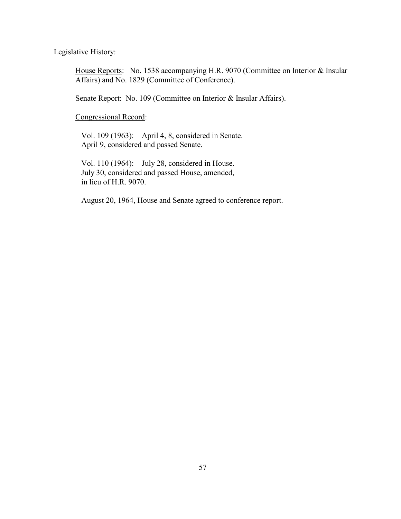Legislative History:

House Reports: No. 1538 accompanying H.R. 9070 (Committee on Interior & Insular Affairs) and No. 1829 (Committee of Conference).

Senate Report: No. 109 (Committee on Interior & Insular Affairs).

Congressional Record:

 Vol. 109 (1963): April 4, 8, considered in Senate. April 9, considered and passed Senate.

 Vol. 110 (1964): July 28, considered in House. July 30, considered and passed House, amended, in lieu of H.R. 9070.

August 20, 1964, House and Senate agreed to conference report.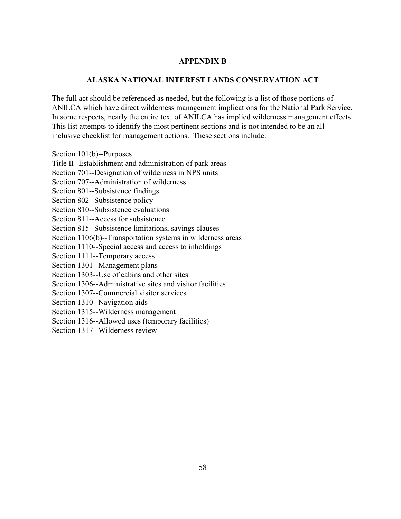### **APPENDIX B**

#### **ALASKA NATIONAL INTEREST LANDS CONSERVATION ACT**

The full act should be referenced as needed, but the following is a list of those portions of ANILCA which have direct wilderness management implications for the National Park Service. In some respects, nearly the entire text of ANILCA has implied wilderness management effects. This list attempts to identify the most pertinent sections and is not intended to be an allinclusive checklist for management actions. These sections include:

Section 101(b)--Purposes

Title II--Establishment and administration of park areas

Section 701--Designation of wilderness in NPS units

Section 707--Administration of wilderness

Section 801--Subsistence findings

Section 802--Subsistence policy

Section 810--Subsistence evaluations

Section 811--Access for subsistence

Section 815--Subsistence limitations, savings clauses

Section 1106(b)--Transportation systems in wilderness areas

Section 1110--Special access and access to inholdings

Section 1111--Temporary access

Section 1301--Management plans

Section 1303--Use of cabins and other sites

Section 1306--Administrative sites and visitor facilities

Section 1307--Commercial visitor services

Section 1310--Navigation aids

Section 1315--Wilderness management

Section 1316--Allowed uses (temporary facilities)

Section 1317--Wilderness review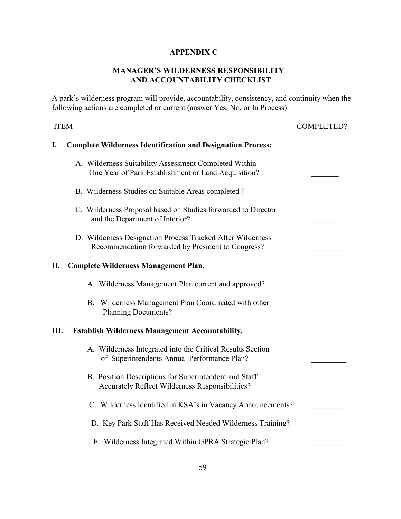### **APPENDIX C**

## **MANAGER'S WILDERNESS RESPONSIBILITY AND ACCOUNTABILITY CHECKLIST**

A park's wilderness program will provide, accountability, consistency, and continuity when the following actions are completed or current (answer Yes, No, or In Process):

|    | <b>ITEM</b>                                                                                                      | <b>COMPLETED?</b> |
|----|------------------------------------------------------------------------------------------------------------------|-------------------|
| I. | <b>Complete Wilderness Identification and Designation Process:</b>                                               |                   |
|    | A. Wilderness Suitability Assessment Completed Within<br>One Year of Park Establishment or Land Acquisition?     |                   |
|    | B. Wilderness Studies on Suitable Areas completed?                                                               |                   |
|    | C. Wilderness Proposal based on Studies forwarded to Director<br>and the Department of Interior?                 |                   |
|    | D. Wilderness Designation Process Tracked After Wilderness<br>Recommendation forwarded by President to Congress? |                   |
| П. | <b>Complete Wilderness Management Plan.</b>                                                                      |                   |
|    | A. Wilderness Management Plan current and approved?                                                              |                   |
|    | B. Wilderness Management Plan Coordinated with other<br><b>Planning Documents?</b>                               |                   |
| Ш. | <b>Establish Wilderness Management Accountability.</b>                                                           |                   |
|    | A. Wilderness Integrated into the Critical Results Section<br>of Superintendents Annual Performance Plan?        |                   |
|    | B. Position Descriptions for Superintendent and Staff<br>Accurately Reflect Wilderness Responsibilities?         |                   |
|    | C. Wilderness Identified in KSA's in Vacancy Announcements?                                                      |                   |
|    | D. Key Park Staff Has Received Needed Wilderness Training?                                                       |                   |
|    | E. Wilderness Integrated Within GPRA Strategic Plan?                                                             |                   |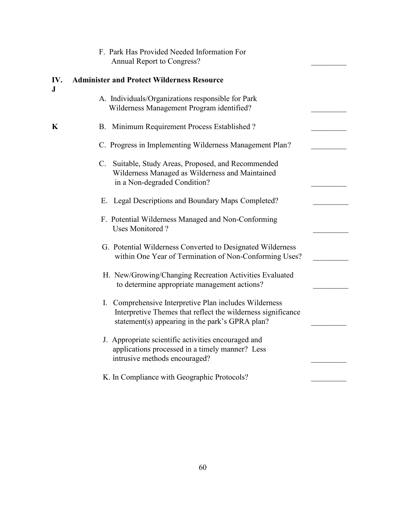|                  | F. Park Has Provided Needed Information For<br><b>Annual Report to Congress?</b>                                                                                          |  |
|------------------|---------------------------------------------------------------------------------------------------------------------------------------------------------------------------|--|
| IV.<br>${\bf J}$ | <b>Administer and Protect Wilderness Resource</b>                                                                                                                         |  |
|                  | A. Individuals/Organizations responsible for Park<br>Wilderness Management Program identified?                                                                            |  |
| K                | B. Minimum Requirement Process Established?                                                                                                                               |  |
|                  | C. Progress in Implementing Wilderness Management Plan?                                                                                                                   |  |
|                  | C. Suitable, Study Areas, Proposed, and Recommended<br>Wilderness Managed as Wilderness and Maintained<br>in a Non-degraded Condition?                                    |  |
|                  | E. Legal Descriptions and Boundary Maps Completed?                                                                                                                        |  |
|                  | F. Potential Wilderness Managed and Non-Conforming<br><b>Uses Monitored?</b>                                                                                              |  |
|                  | G. Potential Wilderness Converted to Designated Wilderness<br>within One Year of Termination of Non-Conforming Uses?                                                      |  |
|                  | H. New/Growing/Changing Recreation Activities Evaluated<br>to determine appropriate management actions?                                                                   |  |
|                  | I. Comprehensive Interpretive Plan includes Wilderness<br>Interpretive Themes that reflect the wilderness significance<br>statement(s) appearing in the park's GPRA plan? |  |
|                  | J. Appropriate scientific activities encouraged and<br>applications processed in a timely manner? Less<br>intrusive methods encouraged?                                   |  |
|                  | K. In Compliance with Geographic Protocols?                                                                                                                               |  |

**J**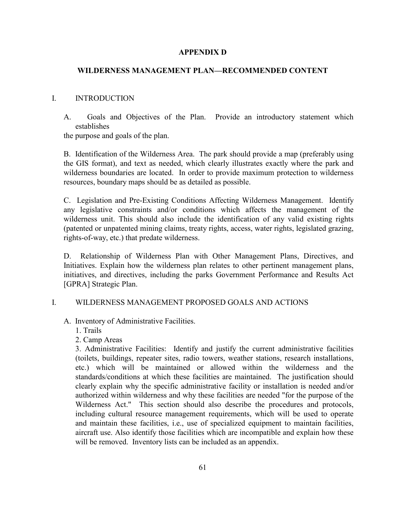### **APPENDIX D**

#### **WILDERNESS MANAGEMENT PLAN—RECOMMENDED CONTENT**

#### I. INTRODUCTION

A. Goals and Objectives of the Plan. Provide an introductory statement which establishes

the purpose and goals of the plan.

B. Identification of the Wilderness Area. The park should provide a map (preferably using the GIS format), and text as needed, which clearly illustrates exactly where the park and wilderness boundaries are located. In order to provide maximum protection to wilderness resources, boundary maps should be as detailed as possible.

C. Legislation and Pre-Existing Conditions Affecting Wilderness Management. Identify any legislative constraints and/or conditions which affects the management of the wilderness unit. This should also include the identification of any valid existing rights (patented or unpatented mining claims, treaty rights, access, water rights, legislated grazing, rights-of-way, etc.) that predate wilderness.

D. Relationship of Wilderness Plan with Other Management Plans, Directives, and Initiatives. Explain how the wilderness plan relates to other pertinent management plans, initiatives, and directives, including the parks Government Performance and Results Act [GPRA] Strategic Plan.

### I. WILDERNESS MANAGEMENT PROPOSED GOALS AND ACTIONS

- A. Inventory of Administrative Facilities.
	- 1. Trails
	- 2. Camp Areas

3. Administrative Facilities: Identify and justify the current administrative facilities (toilets, buildings, repeater sites, radio towers, weather stations, research installations, etc.) which will be maintained or allowed within the wilderness and the standards/conditions at which these facilities are maintained. The justification should clearly explain why the specific administrative facility or installation is needed and/or authorized within wilderness and why these facilities are needed "for the purpose of the Wilderness Act." This section should also describe the procedures and protocols, including cultural resource management requirements, which will be used to operate and maintain these facilities, i.e., use of specialized equipment to maintain facilities, aircraft use. Also identify those facilities which are incompatible and explain how these will be removed. Inventory lists can be included as an appendix.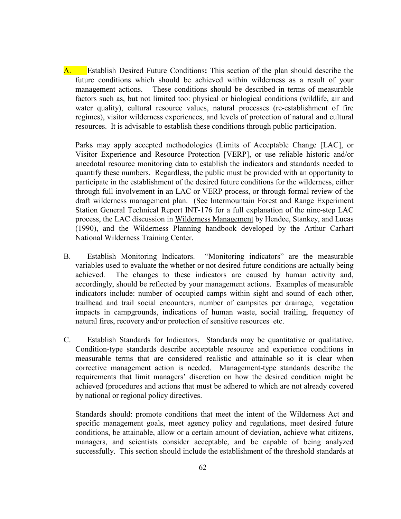A. Establish Desired Future Conditions**:** This section of the plan should describe the future conditions which should be achieved within wilderness as a result of your management actions. These conditions should be described in terms of measurable factors such as, but not limited too: physical or biological conditions (wildlife, air and water quality), cultural resource values, natural processes (re-establishment of fire regimes), visitor wilderness experiences, and levels of protection of natural and cultural resources. It is advisable to establish these conditions through public participation.

Parks may apply accepted methodologies (Limits of Acceptable Change [LAC], or Visitor Experience and Resource Protection [VERP], or use reliable historic and/or anecdotal resource monitoring data to establish the indicators and standards needed to quantify these numbers. Regardless, the public must be provided with an opportunity to participate in the establishment of the desired future conditions for the wilderness, either through full involvement in an LAC or VERP process, or through formal review of the draft wilderness management plan. (See Intermountain Forest and Range Experiment Station General Technical Report INT-176 for a full explanation of the nine-step LAC process, the LAC discussion in Wilderness Management by Hendee, Stankey, and Lucas (1990), and the Wilderness Planning handbook developed by the Arthur Carhart National Wilderness Training Center.

- B. Establish Monitoring Indicators. "Monitoring indicators" are the measurable variables used to evaluate the whether or not desired future conditions are actually being achieved. The changes to these indicators are caused by human activity and, accordingly, should be reflected by your management actions. Examples of measurable indicators include: number of occupied camps within sight and sound of each other, trailhead and trail social encounters, number of campsites per drainage, vegetation impacts in campgrounds, indications of human waste, social trailing, frequency of natural fires, recovery and/or protection of sensitive resources etc.
- C. Establish Standards for Indicators. Standards may be quantitative or qualitative. Condition-type standards describe acceptable resource and experience conditions in measurable terms that are considered realistic and attainable so it is clear when corrective management action is needed. Management-type standards describe the requirements that limit managers' discretion on how the desired condition might be achieved (procedures and actions that must be adhered to which are not already covered by national or regional policy directives.

Standards should: promote conditions that meet the intent of the Wilderness Act and specific management goals, meet agency policy and regulations, meet desired future conditions, be attainable, allow or a certain amount of deviation, achieve what citizens, managers, and scientists consider acceptable, and be capable of being analyzed successfully. This section should include the establishment of the threshold standards at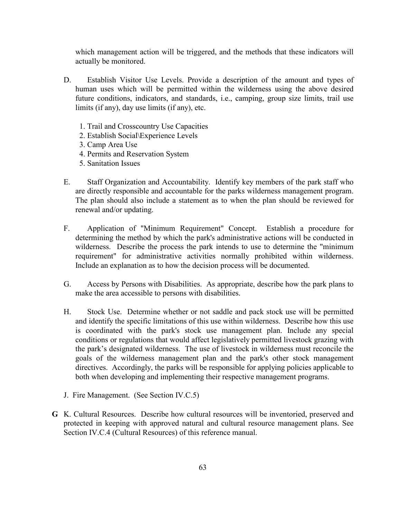which management action will be triggered, and the methods that these indicators will actually be monitored.

- D. Establish Visitor Use Levels. Provide a description of the amount and types of human uses which will be permitted within the wilderness using the above desired future conditions, indicators, and standards, i.e., camping, group size limits, trail use limits (if any), day use limits (if any), etc.
	- 1. Trail and Crosscountry Use Capacities
	- 2. Establish Social\Experience Levels
	- 3. Camp Area Use
	- 4. Permits and Reservation System
	- 5. Sanitation Issues
- E. Staff Organization and Accountability. Identify key members of the park staff who are directly responsible and accountable for the parks wilderness management program. The plan should also include a statement as to when the plan should be reviewed for renewal and/or updating.
- F. Application of "Minimum Requirement" Concept. Establish a procedure for determining the method by which the park's administrative actions will be conducted in wilderness. Describe the process the park intends to use to determine the "minimum requirement" for administrative activities normally prohibited within wilderness. Include an explanation as to how the decision process will be documented.
- G. Access by Persons with Disabilities. As appropriate, describe how the park plans to make the area accessible to persons with disabilities.
- H. Stock Use. Determine whether or not saddle and pack stock use will be permitted and identify the specific limitations of this use within wilderness. Describe how this use is coordinated with the park's stock use management plan. Include any special conditions or regulations that would affect legislatively permitted livestock grazing with the park's designated wilderness. The use of livestock in wilderness must reconcile the goals of the wilderness management plan and the park's other stock management directives. Accordingly, the parks will be responsible for applying policies applicable to both when developing and implementing their respective management programs.
- J. Fire Management. (See Section IV.C.5)
- **G** K. Cultural Resources. Describe how cultural resources will be inventoried, preserved and protected in keeping with approved natural and cultural resource management plans. See Section IV.C.4 (Cultural Resources) of this reference manual.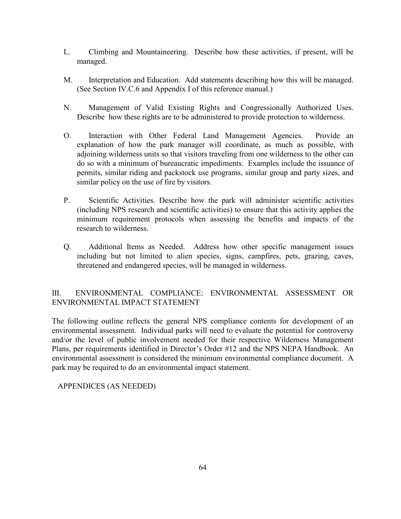- L. Climbing and Mountaineering. Describe how these activities, if present, will be managed.
- M. Interpretation and Education. Add statements describing how this will be managed. (See Section IV.C.6 and Appendix I of this reference manual.)
- N. Management of Valid Existing Rights and Congressionally Authorized Uses. Describe how these rights are to be administered to provide protection to wilderness.
- O. Interaction with Other Federal Land Management Agencies. Provide an explanation of how the park manager will coordinate, as much as possible, with adjoining wilderness units so that visitors traveling from one wilderness to the other can do so with a minimum of bureaucratic impediments. Examples include the issuance of permits, similar riding and packstock use programs, similar group and party sizes, and similar policy on the use of fire by visitors.
- P. Scientific Activities. Describe how the park will administer scientific activities (including NPS research and scientific activities) to ensure that this activity applies the minimum requirement protocols when assessing the benefits and impacts of the research to wilderness.
- Q. Additional Items as Needed. Address how other specific management issues including but not limited to alien species, signs, campfires, pets, grazing, caves, threatened and endangered species, will be managed in wilderness.

## III. ENVIRONMENTAL COMPLIANCE: ENVIRONMENTAL ASSESSMENT OR ENVIRONMENTAL IMPACT STATEMENT

The following outline reflects the general NPS compliance contents for development of an environmental assessment. Individual parks will need to evaluate the potential for controversy and/or the level of public involvement needed for their respective Wilderness Management Plans, per requirements identified in Director's Order #12 and the NPS NEPA Handbook. An environmental assessment is considered the minimum environmental compliance document. A park may be required to do an environmental impact statement.

APPENDICES (AS NEEDED)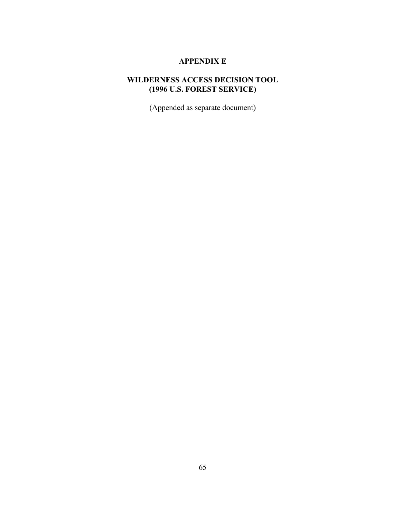# **APPENDIX E**

# **WILDERNESS ACCESS DECISION TOOL (1996 U.S. FOREST SERVICE)**

(Appended as separate document)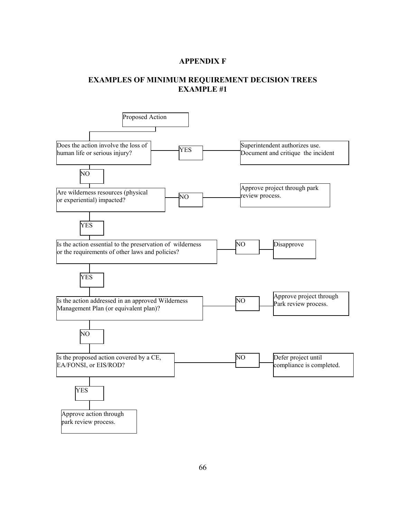### **APPENDIX F**

### **EXAMPLES OF MINIMUM REQUIREMENT DECISION TREES EXAMPLE #1**

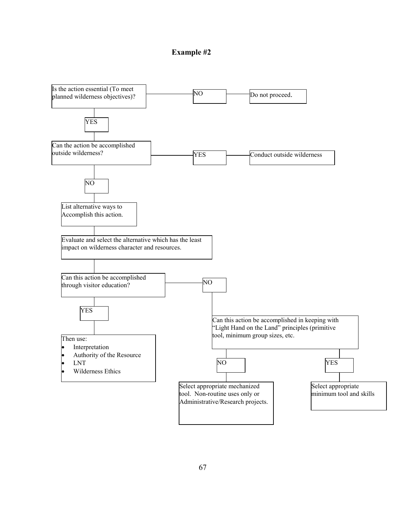### **Example #2**

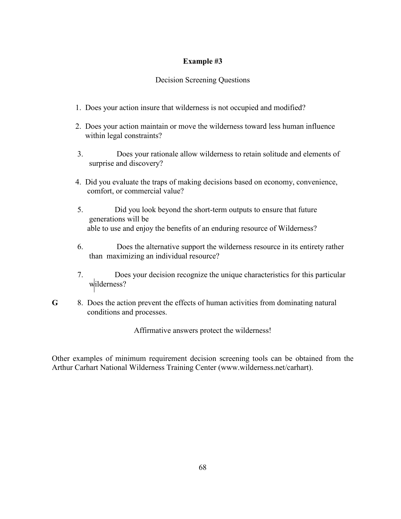## **Example #3**

### Decision Screening Questions

- 1. Does your action insure that wilderness is not occupied and modified?
- 2. Does your action maintain or move the wilderness toward less human influence within legal constraints?
- 3. Does your rationale allow wilderness to retain solitude and elements of surprise and discovery?
- 4. Did you evaluate the traps of making decisions based on economy, convenience, comfort, or commercial value?
- 5. Did you look beyond the short-term outputs to ensure that future generations will be able to use and enjoy the benefits of an enduring resource of Wilderness?
- 6. Does the alternative support the wilderness resource in its entirety rather than maximizing an individual resource?
- 7. Does your decision recognize the unique characteristics for this particular wilderness?
- **G** 8. Does the action prevent the effects of human activities from dominating natural conditions and processes.

Affirmative answers protect the wilderness!

Other examples of minimum requirement decision screening tools can be obtained from the Arthur Carhart National Wilderness Training Center (www.wilderness.net/carhart).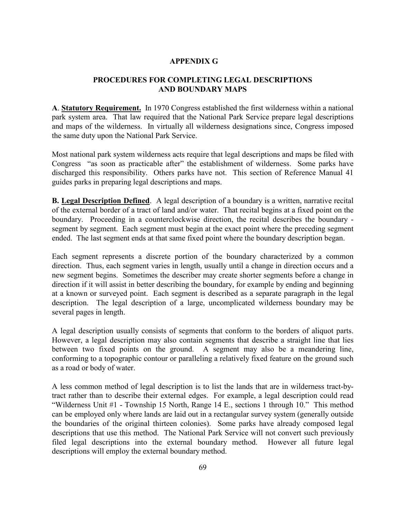### **APPENDIX G**

## **PROCEDURES FOR COMPLETING LEGAL DESCRIPTIONS AND BOUNDARY MAPS**

**A**. **Statutory Requirement.** In 1970 Congress established the first wilderness within a national park system area. That law required that the National Park Service prepare legal descriptions and maps of the wilderness. In virtually all wilderness designations since, Congress imposed the same duty upon the National Park Service.

Most national park system wilderness acts require that legal descriptions and maps be filed with Congress "as soon as practicable after" the establishment of wilderness. Some parks have discharged this responsibility. Others parks have not. This section of Reference Manual 41 guides parks in preparing legal descriptions and maps.

**B. Legal Description Defined**. A legal description of a boundary is a written, narrative recital of the external border of a tract of land and/or water. That recital begins at a fixed point on the boundary. Proceeding in a counterclockwise direction, the recital describes the boundary segment by segment. Each segment must begin at the exact point where the preceding segment ended. The last segment ends at that same fixed point where the boundary description began.

Each segment represents a discrete portion of the boundary characterized by a common direction. Thus, each segment varies in length, usually until a change in direction occurs and a new segment begins. Sometimes the describer may create shorter segments before a change in direction if it will assist in better describing the boundary, for example by ending and beginning at a known or surveyed point. Each segment is described as a separate paragraph in the legal description. The legal description of a large, uncomplicated wilderness boundary may be several pages in length.

A legal description usually consists of segments that conform to the borders of aliquot parts. However, a legal description may also contain segments that describe a straight line that lies between two fixed points on the ground. A segment may also be a meandering line, conforming to a topographic contour or paralleling a relatively fixed feature on the ground such as a road or body of water.

A less common method of legal description is to list the lands that are in wilderness tract-bytract rather than to describe their external edges. For example, a legal description could read "Wilderness Unit #1 - Township 15 North, Range 14 E., sections 1 through 10." This method can be employed only where lands are laid out in a rectangular survey system (generally outside the boundaries of the original thirteen colonies). Some parks have already composed legal descriptions that use this method. The National Park Service will not convert such previously filed legal descriptions into the external boundary method. However all future legal descriptions will employ the external boundary method.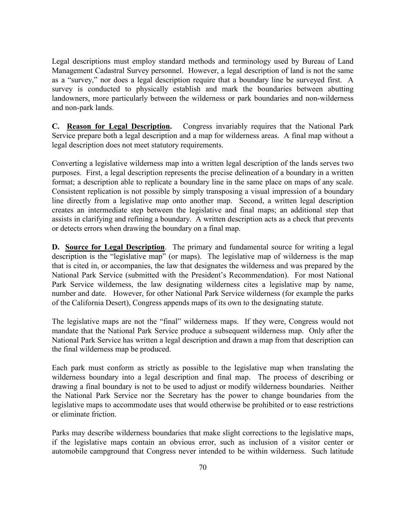Legal descriptions must employ standard methods and terminology used by Bureau of Land Management Cadastral Survey personnel. However, a legal description of land is not the same as a "survey," nor does a legal description require that a boundary line be surveyed first. A survey is conducted to physically establish and mark the boundaries between abutting landowners, more particularly between the wilderness or park boundaries and non-wilderness and non-park lands.

**C. Reason for Legal Description.** Congress invariably requires that the National Park Service prepare both a legal description and a map for wilderness areas. A final map without a legal description does not meet statutory requirements.

Converting a legislative wilderness map into a written legal description of the lands serves two purposes. First, a legal description represents the precise delineation of a boundary in a written format; a description able to replicate a boundary line in the same place on maps of any scale. Consistent replication is not possible by simply transposing a visual impression of a boundary line directly from a legislative map onto another map. Second, a written legal description creates an intermediate step between the legislative and final maps; an additional step that assists in clarifying and refining a boundary. A written description acts as a check that prevents or detects errors when drawing the boundary on a final map.

**D. Source for Legal Description**. The primary and fundamental source for writing a legal description is the "legislative map" (or maps). The legislative map of wilderness is the map that is cited in, or accompanies, the law that designates the wilderness and was prepared by the National Park Service (submitted with the President's Recommendation). For most National Park Service wilderness, the law designating wilderness cites a legislative map by name, number and date. However, for other National Park Service wilderness (for example the parks of the California Desert), Congress appends maps of its own to the designating statute.

The legislative maps are not the "final" wilderness maps. If they were, Congress would not mandate that the National Park Service produce a subsequent wilderness map. Only after the National Park Service has written a legal description and drawn a map from that description can the final wilderness map be produced.

Each park must conform as strictly as possible to the legislative map when translating the wilderness boundary into a legal description and final map. The process of describing or drawing a final boundary is not to be used to adjust or modify wilderness boundaries. Neither the National Park Service nor the Secretary has the power to change boundaries from the legislative maps to accommodate uses that would otherwise be prohibited or to ease restrictions or eliminate friction.

Parks may describe wilderness boundaries that make slight corrections to the legislative maps, if the legislative maps contain an obvious error, such as inclusion of a visitor center or automobile campground that Congress never intended to be within wilderness. Such latitude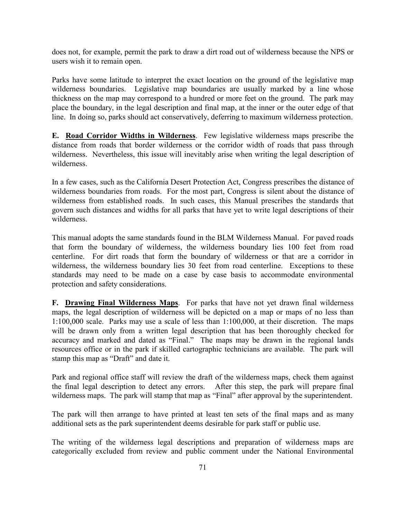does not, for example, permit the park to draw a dirt road out of wilderness because the NPS or users wish it to remain open.

Parks have some latitude to interpret the exact location on the ground of the legislative map wilderness boundaries. Legislative map boundaries are usually marked by a line whose thickness on the map may correspond to a hundred or more feet on the ground. The park may place the boundary, in the legal description and final map, at the inner or the outer edge of that line. In doing so, parks should act conservatively, deferring to maximum wilderness protection.

**E. Road Corridor Widths in Wilderness**. Few legislative wilderness maps prescribe the distance from roads that border wilderness or the corridor width of roads that pass through wilderness. Nevertheless, this issue will inevitably arise when writing the legal description of wilderness.

In a few cases, such as the California Desert Protection Act, Congress prescribes the distance of wilderness boundaries from roads. For the most part, Congress is silent about the distance of wilderness from established roads. In such cases, this Manual prescribes the standards that govern such distances and widths for all parks that have yet to write legal descriptions of their wilderness.

This manual adopts the same standards found in the BLM Wilderness Manual. For paved roads that form the boundary of wilderness, the wilderness boundary lies 100 feet from road centerline. For dirt roads that form the boundary of wilderness or that are a corridor in wilderness, the wilderness boundary lies 30 feet from road centerline. Exceptions to these standards may need to be made on a case by case basis to accommodate environmental protection and safety considerations.

**F. Drawing Final Wilderness Maps**. For parks that have not yet drawn final wilderness maps, the legal description of wilderness will be depicted on a map or maps of no less than 1:100,000 scale. Parks may use a scale of less than 1:100,000, at their discretion. The maps will be drawn only from a written legal description that has been thoroughly checked for accuracy and marked and dated as "Final." The maps may be drawn in the regional lands resources office or in the park if skilled cartographic technicians are available. The park will stamp this map as "Draft" and date it.

Park and regional office staff will review the draft of the wilderness maps, check them against the final legal description to detect any errors. After this step, the park will prepare final wilderness maps. The park will stamp that map as "Final" after approval by the superintendent.

The park will then arrange to have printed at least ten sets of the final maps and as many additional sets as the park superintendent deems desirable for park staff or public use.

The writing of the wilderness legal descriptions and preparation of wilderness maps are categorically excluded from review and public comment under the National Environmental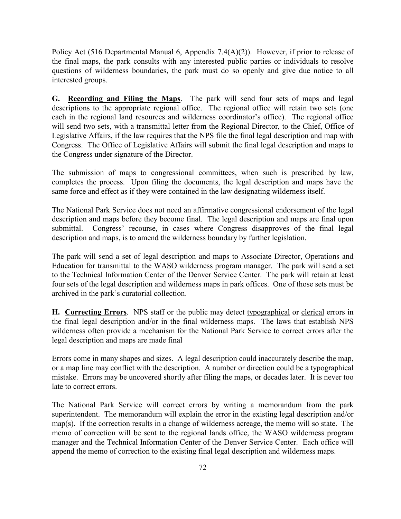Policy Act (516 Departmental Manual 6, Appendix 7.4(A)(2)). However, if prior to release of the final maps, the park consults with any interested public parties or individuals to resolve questions of wilderness boundaries, the park must do so openly and give due notice to all interested groups.

**G. Recording and Filing the Maps**. The park will send four sets of maps and legal descriptions to the appropriate regional office. The regional office will retain two sets (one each in the regional land resources and wilderness coordinator's office). The regional office will send two sets, with a transmittal letter from the Regional Director, to the Chief, Office of Legislative Affairs, if the law requires that the NPS file the final legal description and map with Congress. The Office of Legislative Affairs will submit the final legal description and maps to the Congress under signature of the Director.

The submission of maps to congressional committees, when such is prescribed by law, completes the process. Upon filing the documents, the legal description and maps have the same force and effect as if they were contained in the law designating wilderness itself.

The National Park Service does not need an affirmative congressional endorsement of the legal description and maps before they become final. The legal description and maps are final upon submittal. Congress' recourse, in cases where Congress disapproves of the final legal description and maps, is to amend the wilderness boundary by further legislation.

The park will send a set of legal description and maps to Associate Director, Operations and Education for transmittal to the WASO wilderness program manager. The park will send a set to the Technical Information Center of the Denver Service Center. The park will retain at least four sets of the legal description and wilderness maps in park offices. One of those sets must be archived in the park's curatorial collection.

**H. Correcting Errors**. NPS staff or the public may detect typographical or clerical errors in the final legal description and/or in the final wilderness maps. The laws that establish NPS wilderness often provide a mechanism for the National Park Service to correct errors after the legal description and maps are made final

Errors come in many shapes and sizes. A legal description could inaccurately describe the map, or a map line may conflict with the description. A number or direction could be a typographical mistake. Errors may be uncovered shortly after filing the maps, or decades later. It is never too late to correct errors.

The National Park Service will correct errors by writing a memorandum from the park superintendent. The memorandum will explain the error in the existing legal description and/or map(s). If the correction results in a change of wilderness acreage, the memo will so state. The memo of correction will be sent to the regional lands office, the WASO wilderness program manager and the Technical Information Center of the Denver Service Center. Each office will append the memo of correction to the existing final legal description and wilderness maps.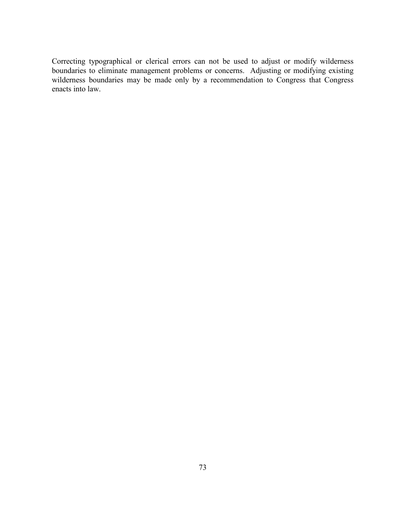Correcting typographical or clerical errors can not be used to adjust or modify wilderness boundaries to eliminate management problems or concerns. Adjusting or modifying existing wilderness boundaries may be made only by a recommendation to Congress that Congress enacts into law.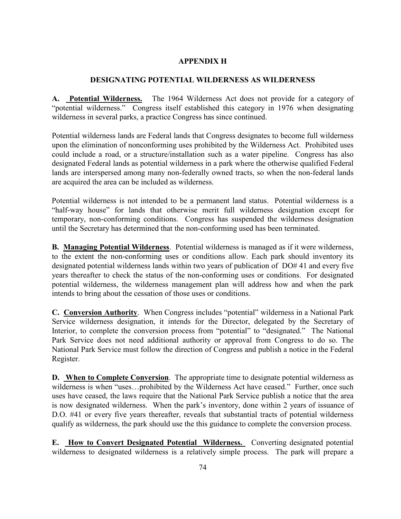### **APPENDIX H**

#### **DESIGNATING POTENTIAL WILDERNESS AS WILDERNESS**

**A. Potential Wilderness.** The 1964 Wilderness Act does not provide for a category of "potential wilderness." Congress itself established this category in 1976 when designating wilderness in several parks, a practice Congress has since continued.

Potential wilderness lands are Federal lands that Congress designates to become full wilderness upon the elimination of nonconforming uses prohibited by the Wilderness Act. Prohibited uses could include a road, or a structure/installation such as a water pipeline. Congress has also designated Federal lands as potential wilderness in a park where the otherwise qualified Federal lands are interspersed among many non-federally owned tracts, so when the non-federal lands are acquired the area can be included as wilderness.

Potential wilderness is not intended to be a permanent land status. Potential wilderness is a "half-way house" for lands that otherwise merit full wilderness designation except for temporary, non-conforming conditions. Congress has suspended the wilderness designation until the Secretary has determined that the non-conforming used has been terminated.

**B. Managing Potential Wilderness**.Potential wilderness is managed as if it were wilderness, to the extent the non-conforming uses or conditions allow. Each park should inventory its designated potential wilderness lands within two years of publication of DO# 41 and every five years thereafter to check the status of the non-conforming uses or conditions. For designated potential wilderness, the wilderness management plan will address how and when the park intends to bring about the cessation of those uses or conditions.

**C. Conversion Authority**. When Congress includes "potential" wilderness in a National Park Service wilderness designation, it intends for the Director, delegated by the Secretary of Interior, to complete the conversion process from "potential" to "designated." The National Park Service does not need additional authority or approval from Congress to do so. The National Park Service must follow the direction of Congress and publish a notice in the Federal Register.

**D. When to Complete Conversion**. The appropriate time to designate potential wilderness as wilderness is when "uses…prohibited by the Wilderness Act have ceased." Further, once such uses have ceased, the laws require that the National Park Service publish a notice that the area is now designated wilderness. When the park's inventory, done within 2 years of issuance of D.O. #41 or every five years thereafter, reveals that substantial tracts of potential wilderness qualify as wilderness, the park should use the this guidance to complete the conversion process.

**E.** How to Convert Designated Potential Wilderness. Converting designated potential wilderness to designated wilderness is a relatively simple process. The park will prepare a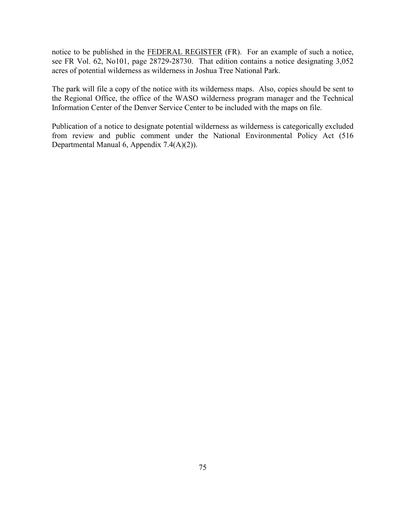notice to be published in the FEDERAL REGISTER (FR). For an example of such a notice, see FR Vol. 62, No101, page 28729-28730. That edition contains a notice designating 3,052 acres of potential wilderness as wilderness in Joshua Tree National Park.

The park will file a copy of the notice with its wilderness maps. Also, copies should be sent to the Regional Office, the office of the WASO wilderness program manager and the Technical Information Center of the Denver Service Center to be included with the maps on file.

Publication of a notice to designate potential wilderness as wilderness is categorically excluded from review and public comment under the National Environmental Policy Act (516 Departmental Manual 6, Appendix 7.4(A)(2)).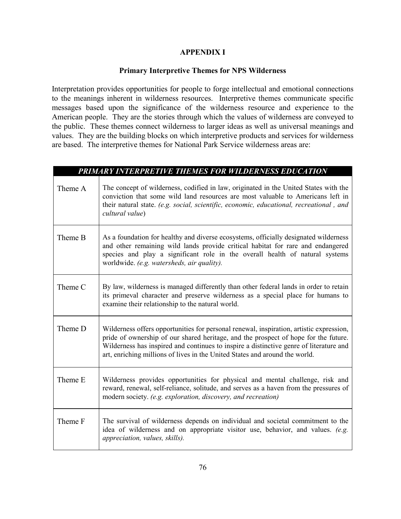### **APPENDIX I**

## **Primary Interpretive Themes for NPS Wilderness**

Interpretation provides opportunities for people to forge intellectual and emotional connections to the meanings inherent in wilderness resources. Interpretive themes communicate specific messages based upon the significance of the wilderness resource and experience to the American people. They are the stories through which the values of wilderness are conveyed to the public. These themes connect wilderness to larger ideas as well as universal meanings and values. They are the building blocks on which interpretive products and services for wilderness are based. The interpretive themes for National Park Service wilderness areas are:

| PRIMARY INTERPRETIVE THEMES FOR WILDERNESS EDUCATION |                                                                                                                                                                                                                                                                                                                                                         |  |
|------------------------------------------------------|---------------------------------------------------------------------------------------------------------------------------------------------------------------------------------------------------------------------------------------------------------------------------------------------------------------------------------------------------------|--|
| Theme A                                              | The concept of wilderness, codified in law, originated in the United States with the<br>conviction that some wild land resources are most valuable to Americans left in<br>their natural state. (e.g. social, scientific, economic, educational, recreational, and<br>cultural value)                                                                   |  |
| Theme B                                              | As a foundation for healthy and diverse ecosystems, officially designated wilderness<br>and other remaining wild lands provide critical habitat for rare and endangered<br>species and play a significant role in the overall health of natural systems<br>worldwide. (e.g. watersheds, air quality).                                                   |  |
| Theme C                                              | By law, wilderness is managed differently than other federal lands in order to retain<br>its primeval character and preserve wilderness as a special place for humans to<br>examine their relationship to the natural world.                                                                                                                            |  |
| Theme D                                              | Wilderness offers opportunities for personal renewal, inspiration, artistic expression,<br>pride of ownership of our shared heritage, and the prospect of hope for the future.<br>Wilderness has inspired and continues to inspire a distinctive genre of literature and<br>art, enriching millions of lives in the United States and around the world. |  |
| Theme E                                              | Wilderness provides opportunities for physical and mental challenge, risk and<br>reward, renewal, self-reliance, solitude, and serves as a haven from the pressures of<br>modern society. (e.g. exploration, discovery, and recreation)                                                                                                                 |  |
| Theme F                                              | The survival of wilderness depends on individual and societal commitment to the<br>idea of wilderness and on appropriate visitor use, behavior, and values. (e.g.<br>appreciation, values, skills).                                                                                                                                                     |  |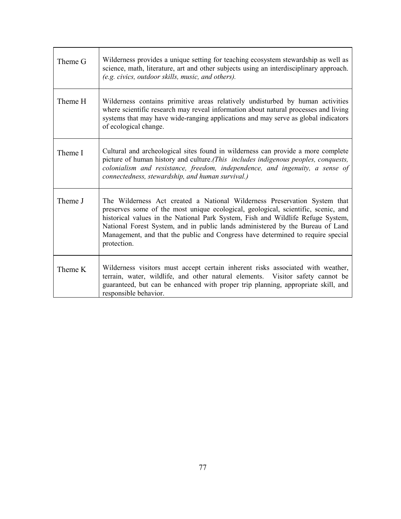| Theme G | Wilderness provides a unique setting for teaching ecosystem stewardship as well as<br>science, math, literature, art and other subjects using an interdisciplinary approach.<br>(e.g. civics, outdoor skills, music, and others).                                                                                                                                                                                                     |
|---------|---------------------------------------------------------------------------------------------------------------------------------------------------------------------------------------------------------------------------------------------------------------------------------------------------------------------------------------------------------------------------------------------------------------------------------------|
| Theme H | Wilderness contains primitive areas relatively undisturbed by human activities<br>where scientific research may reveal information about natural processes and living<br>systems that may have wide-ranging applications and may serve as global indicators<br>of ecological change.                                                                                                                                                  |
| Theme I | Cultural and archeological sites found in wilderness can provide a more complete<br>picture of human history and culture.(This includes indigenous peoples, conquests,<br>colonialism and resistance, freedom, independence, and ingenuity, a sense of<br>connectedness, stewardship, and human survival.)                                                                                                                            |
| Theme J | The Wilderness Act created a National Wilderness Preservation System that<br>preserves some of the most unique ecological, geological, scientific, scenic, and<br>historical values in the National Park System, Fish and Wildlife Refuge System,<br>National Forest System, and in public lands administered by the Bureau of Land<br>Management, and that the public and Congress have determined to require special<br>protection. |
| Theme K | Wilderness visitors must accept certain inherent risks associated with weather,<br>terrain, water, wildlife, and other natural elements. Visitor safety cannot be<br>guaranteed, but can be enhanced with proper trip planning, appropriate skill, and<br>responsible behavior.                                                                                                                                                       |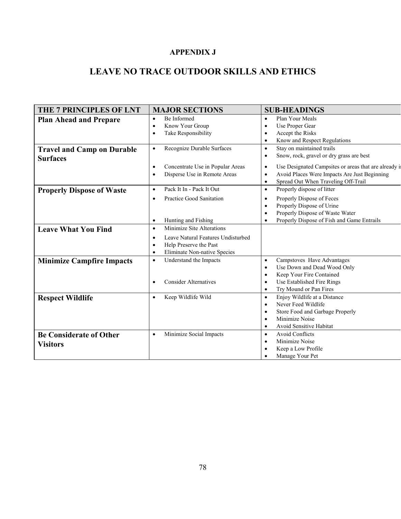# **APPENDIX J**

# **LEAVE NO TRACE OUTDOOR SKILLS AND ETHICS**

| THE 7 PRINCIPLES OF LNT                              | <b>MAJOR SECTIONS</b>                                                                                                                                                                                                    | <b>SUB-HEADINGS</b>                                                                                                                                                                                            |
|------------------------------------------------------|--------------------------------------------------------------------------------------------------------------------------------------------------------------------------------------------------------------------------|----------------------------------------------------------------------------------------------------------------------------------------------------------------------------------------------------------------|
| <b>Plan Ahead and Prepare</b>                        | Be Informed<br>$\bullet$<br>Know Your Group<br>$\bullet$<br>Take Responsibility<br>$\bullet$                                                                                                                             | Plan Your Meals<br>$\bullet$<br>Use Proper Gear<br>$\bullet$<br>Accept the Risks<br>$\bullet$<br>Know and Respect Regulations<br>$\bullet$                                                                     |
| <b>Travel and Camp on Durable</b><br><b>Surfaces</b> | Recognize Durable Surfaces<br>$\bullet$<br>Concentrate Use in Popular Areas<br>$\bullet$                                                                                                                                 | Stay on maintained trails<br>$\bullet$<br>Snow, rock, gravel or dry grass are best<br>$\bullet$<br>Use Designated Campsites or areas that are already is<br>$\bullet$                                          |
|                                                      | Disperse Use in Remote Areas<br>$\bullet$                                                                                                                                                                                | Avoid Places Were Impacts Are Just Beginning<br>$\bullet$<br>Spread Out When Traveling Off-Trail<br>$\bullet$                                                                                                  |
| <b>Properly Dispose of Waste</b>                     | Pack It In - Pack It Out<br>$\bullet$<br>Practice Good Sanitation<br>$\bullet$                                                                                                                                           | Properly dispose of litter<br>$\bullet$<br>Properly Dispose of Feces<br>$\bullet$<br>Properly Dispose of Urine<br>$\bullet$<br>Properly Dispose of Waste Water<br>$\bullet$                                    |
| <b>Leave What You Find</b>                           | Hunting and Fishing<br>$\bullet$<br>Minimize Site Alterations<br>$\bullet$<br>Leave Natural Features Undisturbed<br>$\bullet$<br>Help Preserve the Past<br>$\bullet$<br><b>Eliminate Non-native Species</b><br>$\bullet$ | Properly Dispose of Fish and Game Entrails                                                                                                                                                                     |
| <b>Minimize Campfire Impacts</b>                     | Understand the Impacts<br>$\bullet$<br><b>Consider Alternatives</b>                                                                                                                                                      | Campstoves Have Advantages<br>$\bullet$<br>Use Down and Dead Wood Only<br>$\bullet$<br>Keep Your Fire Contained<br>$\bullet$<br>Use Established Fire Rings<br>$\bullet$<br>Try Mound or Pan Fires<br>$\bullet$ |
| <b>Respect Wildlife</b>                              | Keep Wildlife Wild<br>$\bullet$                                                                                                                                                                                          | Enjoy Wildlife at a Distance<br>$\bullet$<br>Never Feed Wildlife<br>$\bullet$<br>Store Food and Garbage Properly<br>$\bullet$<br>Minimize Noise<br>$\bullet$<br>Avoid Sensitive Habitat<br>$\bullet$           |
| <b>Be Considerate of Other</b><br><b>Visitors</b>    | Minimize Social Impacts<br>$\bullet$                                                                                                                                                                                     | <b>Avoid Conflicts</b><br>$\bullet$<br>Minimize Noise<br>$\bullet$<br>Keep a Low Profile<br>$\bullet$<br>Manage Your Pet                                                                                       |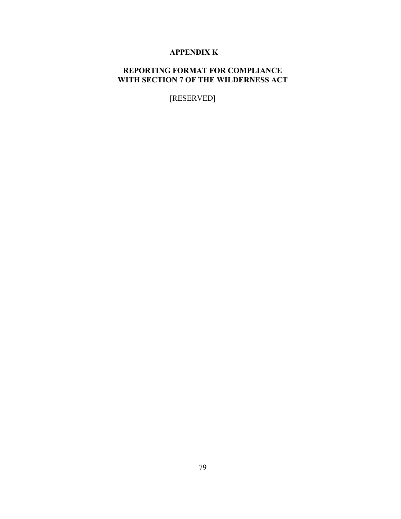# **APPENDIX K**

# **REPORTING FORMAT FOR COMPLIANCE WITH SECTION 7 OF THE WILDERNESS ACT**

[RESERVED]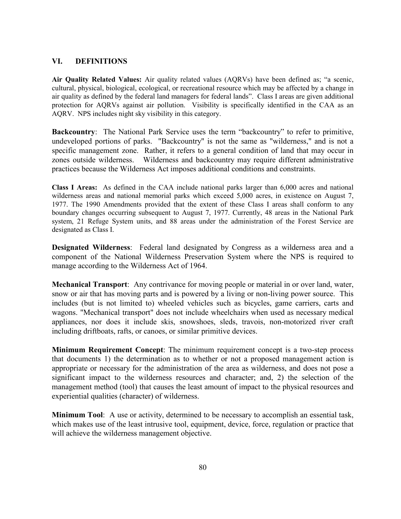#### **VI. DEFINITIONS**

**Air Quality Related Values:** Air quality related values (AQRVs) have been defined as; "a scenic, cultural, physical, biological, ecological, or recreational resource which may be affected by a change in air quality as defined by the federal land managers for federal lands". Class I areas are given additional protection for AQRVs against air pollution. Visibility is specifically identified in the CAA as an AQRV. NPS includes night sky visibility in this category.

**Backcountry**: The National Park Service uses the term "backcountry" to refer to primitive, undeveloped portions of parks. "Backcountry" is not the same as "wilderness," and is not a specific management zone. Rather, it refers to a general condition of land that may occur in zones outside wilderness. Wilderness and backcountry may require different administrative practices because the Wilderness Act imposes additional conditions and constraints.

**Class I Areas:** As defined in the CAA include national parks larger than 6,000 acres and national wilderness areas and national memorial parks which exceed 5,000 acres, in existence on August 7, 1977. The 1990 Amendments provided that the extent of these Class I areas shall conform to any boundary changes occurring subsequent to August 7, 1977. Currently, 48 areas in the National Park system, 21 Refuge System units, and 88 areas under the administration of the Forest Service are designated as Class I.

**Designated Wilderness**: Federal land designated by Congress as a wilderness area and a component of the National Wilderness Preservation System where the NPS is required to manage according to the Wilderness Act of 1964.

**Mechanical Transport**: Any contrivance for moving people or material in or over land, water, snow or air that has moving parts and is powered by a living or non-living power source. This includes (but is not limited to) wheeled vehicles such as bicycles, game carriers, carts and wagons. "Mechanical transport" does not include wheelchairs when used as necessary medical appliances, nor does it include skis, snowshoes, sleds, travois, non-motorized river craft including driftboats, rafts, or canoes, or similar primitive devices.

**Minimum Requirement Concept**: The minimum requirement concept is a two-step process that documents 1) the determination as to whether or not a proposed management action is appropriate or necessary for the administration of the area as wilderness, and does not pose a significant impact to the wilderness resources and character; and, 2) the selection of the management method (tool) that causes the least amount of impact to the physical resources and experiential qualities (character) of wilderness.

**Minimum Tool**: A use or activity, determined to be necessary to accomplish an essential task, which makes use of the least intrusive tool, equipment, device, force, regulation or practice that will achieve the wilderness management objective.